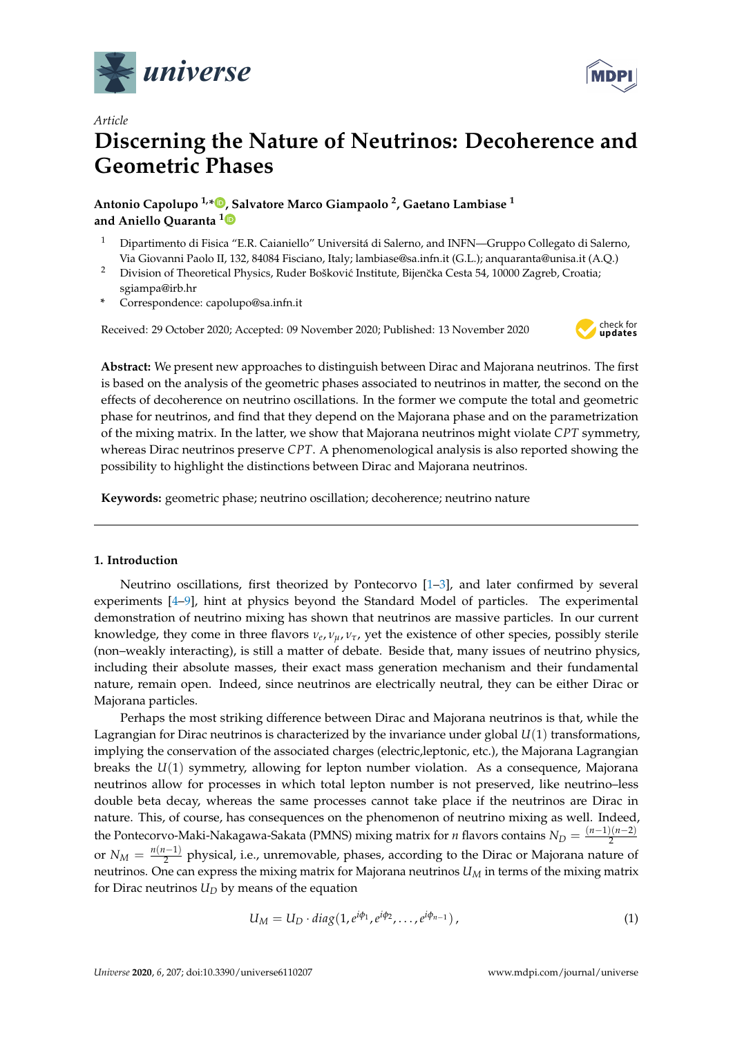



# **Discerning the Nature of Neutrinos: Decoherence and Geometric Phases**

**Antonio Capolupo 1,[\\*](https://orcid.org/0000-0000-000-000X) , Salvatore Marco Giampaolo <sup>2</sup> , Gaetano Lambiase <sup>1</sup> and Aniello Quaranta [1](https://orcid.org/0000-0001-7574-2330)**

- <sup>1</sup> Dipartimento di Fisica "E.R. Caianiello" Universitá di Salerno, and INFN—Gruppo Collegato di Salerno, Via Giovanni Paolo II, 132, 84084 Fisciano, Italy; lambiase@sa.infn.it (G.L.); anquaranta@unisa.it (A.Q.)
- <sup>2</sup> Division of Theoretical Physics, Ruder Bošković Institute, Bijenčka Cesta 54, 10000 Zagreb, Croatia; sgiampa@irb.hr
- **\*** Correspondence: capolupo@sa.infn.it

Received: 29 October 2020; Accepted: 09 November 2020; Published: 13 November 2020



**Abstract:** We present new approaches to distinguish between Dirac and Majorana neutrinos. The first is based on the analysis of the geometric phases associated to neutrinos in matter, the second on the effects of decoherence on neutrino oscillations. In the former we compute the total and geometric phase for neutrinos, and find that they depend on the Majorana phase and on the parametrization of the mixing matrix. In the latter, we show that Majorana neutrinos might violate *CPT* symmetry, whereas Dirac neutrinos preserve *CPT*. A phenomenological analysis is also reported showing the possibility to highlight the distinctions between Dirac and Majorana neutrinos.

**Keywords:** geometric phase; neutrino oscillation; decoherence; neutrino nature

## **1. Introduction**

Neutrino oscillations, first theorized by Pontecorvo [\[1](#page-12-0)[–3\]](#page-12-1), and later confirmed by several experiments [\[4–](#page-12-2)[9\]](#page-12-3), hint at physics beyond the Standard Model of particles. The experimental demonstration of neutrino mixing has shown that neutrinos are massive particles. In our current knowledge, they come in three flavors *ν<sup>e</sup>* , *νµ*, *ντ*, yet the existence of other species, possibly sterile (non–weakly interacting), is still a matter of debate. Beside that, many issues of neutrino physics, including their absolute masses, their exact mass generation mechanism and their fundamental nature, remain open. Indeed, since neutrinos are electrically neutral, they can be either Dirac or Majorana particles.

Perhaps the most striking difference between Dirac and Majorana neutrinos is that, while the Lagrangian for Dirac neutrinos is characterized by the invariance under global *U*(1) transformations, implying the conservation of the associated charges (electric,leptonic, etc.), the Majorana Lagrangian breaks the *U*(1) symmetry, allowing for lepton number violation. As a consequence, Majorana neutrinos allow for processes in which total lepton number is not preserved, like neutrino–less double beta decay, whereas the same processes cannot take place if the neutrinos are Dirac in nature. This, of course, has consequences on the phenomenon of neutrino mixing as well. Indeed, the Pontecorvo-Maki-Nakagawa-Sakata (PMNS) mixing matrix for *n* flavors contains *N<sup>D</sup>* = (*n*−1)(*n*−2) 2 or  $N_M = \frac{n(n-1)}{2}$  $\frac{2^{(2)}-1}{2}$  physical, i.e., unremovable, phases, according to the Dirac or Majorana nature of neutrinos. One can express the mixing matrix for Majorana neutrinos *U<sup>M</sup>* in terms of the mixing matrix for Dirac neutrinos  $U_D$  by means of the equation

$$
U_M = U_D \cdot diag(1, e^{i\phi_1}, e^{i\phi_2}, \dots, e^{i\phi_{n-1}}), \qquad (1)
$$

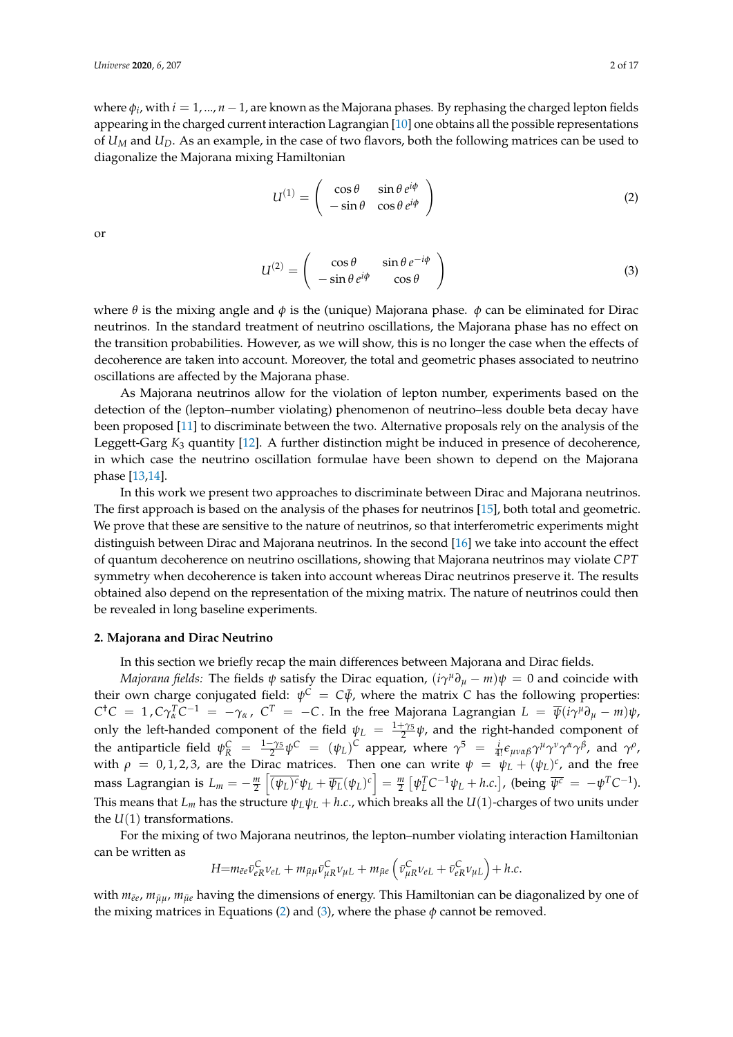where *φ<sup>i</sup>* , with *i* = 1, ..., *n* −1, are known as the Majorana phases. By rephasing the charged lepton fields appearing in the charged current interaction Lagrangian [\[10\]](#page-12-4) one obtains all the possible representations of *U<sup>M</sup>* and *UD*. As an example, in the case of two flavors, both the following matrices can be used to diagonalize the Majorana mixing Hamiltonian

<span id="page-1-0"></span>
$$
U^{(1)} = \begin{pmatrix} \cos \theta & \sin \theta \, e^{i\phi} \\ -\sin \theta & \cos \theta \, e^{i\phi} \end{pmatrix} \tag{2}
$$

or

<span id="page-1-1"></span>
$$
U^{(2)} = \begin{pmatrix} \cos \theta & \sin \theta e^{-i\phi} \\ -\sin \theta e^{i\phi} & \cos \theta \end{pmatrix}
$$
 (3)

where  $\theta$  is the mixing angle and  $\phi$  is the (unique) Majorana phase.  $\phi$  can be eliminated for Dirac neutrinos. In the standard treatment of neutrino oscillations, the Majorana phase has no effect on the transition probabilities. However, as we will show, this is no longer the case when the effects of decoherence are taken into account. Moreover, the total and geometric phases associated to neutrino oscillations are affected by the Majorana phase.

As Majorana neutrinos allow for the violation of lepton number, experiments based on the detection of the (lepton–number violating) phenomenon of neutrino–less double beta decay have been proposed [\[11\]](#page-12-5) to discriminate between the two. Alternative proposals rely on the analysis of the Leggett-Garg  $K_3$  quantity [\[12\]](#page-12-6). A further distinction might be induced in presence of decoherence, in which case the neutrino oscillation formulae have been shown to depend on the Majorana phase [\[13](#page-12-7)[,14\]](#page-12-8).

In this work we present two approaches to discriminate between Dirac and Majorana neutrinos. The first approach is based on the analysis of the phases for neutrinos [\[15\]](#page-12-9), both total and geometric. We prove that these are sensitive to the nature of neutrinos, so that interferometric experiments might distinguish between Dirac and Majorana neutrinos. In the second [\[16\]](#page-12-10) we take into account the effect of quantum decoherence on neutrino oscillations, showing that Majorana neutrinos may violate *CPT* symmetry when decoherence is taken into account whereas Dirac neutrinos preserve it. The results obtained also depend on the representation of the mixing matrix. The nature of neutrinos could then be revealed in long baseline experiments.

#### **2. Majorana and Dirac Neutrino**

In this section we briefly recap the main differences between Majorana and Dirac fields.

*Majorana fields:* The fields  $\psi$  satisfy the Dirac equation,  $(i\gamma^\mu\partial_\mu - m)\psi = 0$  and coincide with their own charge conjugated field:  $\psi^C = C\bar{\psi}$ , where the matrix *C* has the following properties:  $C^{\dagger}C = 1$  ,  $C\gamma_{\alpha}^{T}C^{-1} = -\gamma_{\alpha}$  ,  $C^{T} = -C$  . In the free Majorana Lagrangian  $L = \overline{\psi}(i\gamma^{\mu}\partial_{\mu} - m)\psi$ , only the left-handed component of the field  $\psi_L = \frac{1+\gamma_5}{2} \psi$ , and the right-handed component of the antiparticle field  $\psi_R^C = \frac{1-\gamma_5}{2} \psi^C = (\psi_L)^C$  appear, where  $\gamma^5 = \frac{i}{4!} \epsilon_{\mu\nu\alpha\beta} \gamma^{\mu} \gamma^{\nu} \gamma^{\alpha} \gamma^{\beta}$ , and  $\gamma^{\rho}$ , with  $\rho = 0, 1, 2, 3$ , are the Dirac matrices. Then one can write  $\psi = \psi_L + (\psi_L)^c$ , and the free mass Lagrangian is  $L_m = -\frac{m}{2}\left[\overline{(\psi_L)^c}\psi_L + \overline{\psi_L}(\psi_L)^c\right] = \frac{m}{2}\left[\psi_L^T C^{-1}\psi_L + h.c.\right]$ , (being  $\overline{\psi^c} = -\psi^T C^{-1}$ ). This means that  $L_m$  has the structure  $\psi_L \psi_L + h.c.$ , which breaks all the  $U(1)$ -charges of two units under the  $U(1)$  transformations.

For the mixing of two Majorana neutrinos, the lepton–number violating interaction Hamiltonian can be written as

$$
H = m_{\bar{e}e} \bar{\nu}_{eR}^C \nu_{eL} + m_{\bar{\mu}\mu} \bar{\nu}_{\mu R}^C \nu_{\mu L} + m_{\bar{\mu}e} \left( \bar{\nu}_{\mu R}^C \nu_{eL} + \bar{\nu}_{eR}^C \nu_{\mu L} \right) + h.c.
$$

with  $m_{\bar{e}e}$ ,  $m_{\bar{\mu}\mu}$ ,  $m_{\bar{\mu}e}$  having the dimensions of energy. This Hamiltonian can be diagonalized by one of the mixing matrices in Equations [\(2\)](#page-1-0) and [\(3\)](#page-1-1), where the phase  $\phi$  cannot be removed.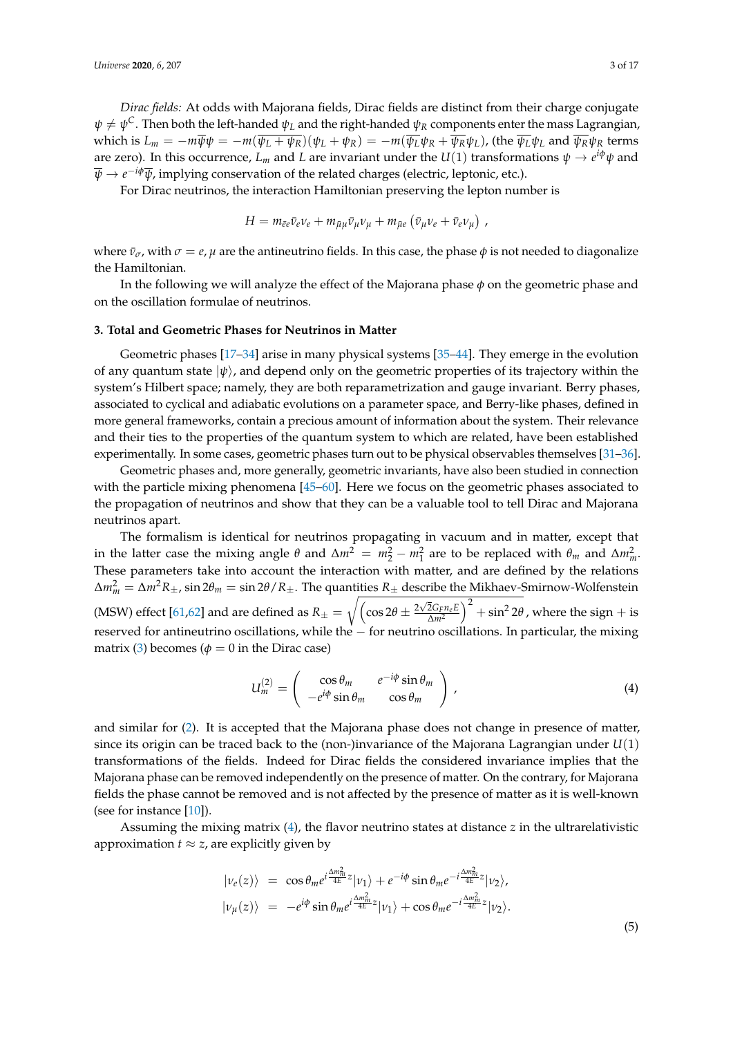*Dirac fields:* At odds with Majorana fields, Dirac fields are distinct from their charge conjugate  $\psi \neq \psi^C.$  Then both the left-handed  $\psi_L$  and the right-handed  $\psi_R$  components enter the mass Lagrangian, which is  $L_m = -m\overline{\psi}\psi = -m(\overline{\psi_L + \psi_R})(\psi_L + \psi_R) = -m(\overline{\psi_L}\psi_R + \overline{\psi_R}\psi_L)$ , (the  $\overline{\psi_L}\psi_L$  and  $\overline{\psi_R}\psi_R$  terms are zero). In this occurrence,  $L_m$  and  $L$  are invariant under the  $U(1)$  transformations  $\psi \to e^{i\phi}\psi$  and *ψ* → *e* <sup>−</sup>*iφψ*, implying conservation of the related charges (electric, leptonic, etc.).

For Dirac neutrinos, the interaction Hamiltonian preserving the lepton number is

$$
H = m_{\bar{e}e} \bar{\nu}_e \nu_e + m_{\bar{\mu}\mu} \bar{\nu}_\mu \nu_\mu + m_{\bar{\mu}e} (\bar{\nu}_\mu \nu_e + \bar{\nu}_e \nu_\mu) ,
$$

where  $\bar{v}_\sigma$ , with  $\sigma = e$ ,  $\mu$  are the antineutrino fields. In this case, the phase  $\phi$  is not needed to diagonalize the Hamiltonian.

In the following we will analyze the effect of the Majorana phase *φ* on the geometric phase and on the oscillation formulae of neutrinos.

#### **3. Total and Geometric Phases for Neutrinos in Matter**

Geometric phases [\[17](#page-12-11)[–34\]](#page-13-0) arise in many physical systems [\[35](#page-13-1)[–44\]](#page-13-2). They emerge in the evolution of any quantum state  $|\psi\rangle$ , and depend only on the geometric properties of its trajectory within the system's Hilbert space; namely, they are both reparametrization and gauge invariant. Berry phases, associated to cyclical and adiabatic evolutions on a parameter space, and Berry-like phases, defined in more general frameworks, contain a precious amount of information about the system. Their relevance and their ties to the properties of the quantum system to which are related, have been established experimentally. In some cases, geometric phases turn out to be physical observables themselves [\[31–](#page-13-3)[36\]](#page-13-4).

Geometric phases and, more generally, geometric invariants, have also been studied in connection with the particle mixing phenomena [\[45–](#page-14-0)[60\]](#page-14-1). Here we focus on the geometric phases associated to the propagation of neutrinos and show that they can be a valuable tool to tell Dirac and Majorana neutrinos apart.

The formalism is identical for neutrinos propagating in vacuum and in matter, except that in the latter case the mixing angle  $\theta$  and  $\Delta m^2 = m_2^2 - m_1^2$  are to be replaced with  $\theta_m$  and  $\Delta m_m^2$ . These parameters take into account the interaction with matter, and are defined by the relations ∆*m*<sup>2</sup> *<sup>m</sup>* = ∆*m*2*R*±, sin 2*θ<sup>m</sup>* = sin 2*θ*/*R*±. The quantities *R*<sup>±</sup> describe the Mikhaev-Smirnow-Wolfenstein (MSW) effect [\[61](#page-14-2)[,62\]](#page-14-3) and are defined as  $R_{\pm} = \sqrt{\left(\cos 2\theta \pm \frac{2\sqrt{2}G_F n_e E}{\Delta m^2}\right)}$  $\int_0^2 + \sin^2 2\theta$ , where the sign + is reserved for antineutrino oscillations, while the − for neutrino oscillations. In particular, the mixing matrix [\(3\)](#page-1-1) becomes ( $\phi = 0$  in the Dirac case)

<span id="page-2-0"></span>
$$
U_m^{(2)} = \begin{pmatrix} \cos \theta_m & e^{-i\phi} \sin \theta_m \\ -e^{i\phi} \sin \theta_m & \cos \theta_m \end{pmatrix},
$$
(4)

and similar for [\(2\)](#page-1-0). It is accepted that the Majorana phase does not change in presence of matter, since its origin can be traced back to the (non-)invariance of the Majorana Lagrangian under *U*(1) transformations of the fields. Indeed for Dirac fields the considered invariance implies that the Majorana phase can be removed independently on the presence of matter. On the contrary, for Majorana fields the phase cannot be removed and is not affected by the presence of matter as it is well-known (see for instance [\[10\]](#page-12-4)).

Assuming the mixing matrix [\(4\)](#page-2-0), the flavor neutrino states at distance *z* in the ultrarelativistic approximation  $t \approx z$ , are explicitly given by

<span id="page-2-1"></span>
$$
|\nu_e(z)\rangle = \cos\theta_m e^{i\frac{\Delta m_m^2}{4E}z} |\nu_1\rangle + e^{-i\phi} \sin\theta_m e^{-i\frac{\Delta m_m^2}{4E}z} |\nu_2\rangle,
$$
  

$$
|\nu_\mu(z)\rangle = -e^{i\phi} \sin\theta_m e^{i\frac{\Delta m_m^2}{4E}z} |\nu_1\rangle + \cos\theta_m e^{-i\frac{\Delta m_m^2}{4E}z} |\nu_2\rangle.
$$

(5)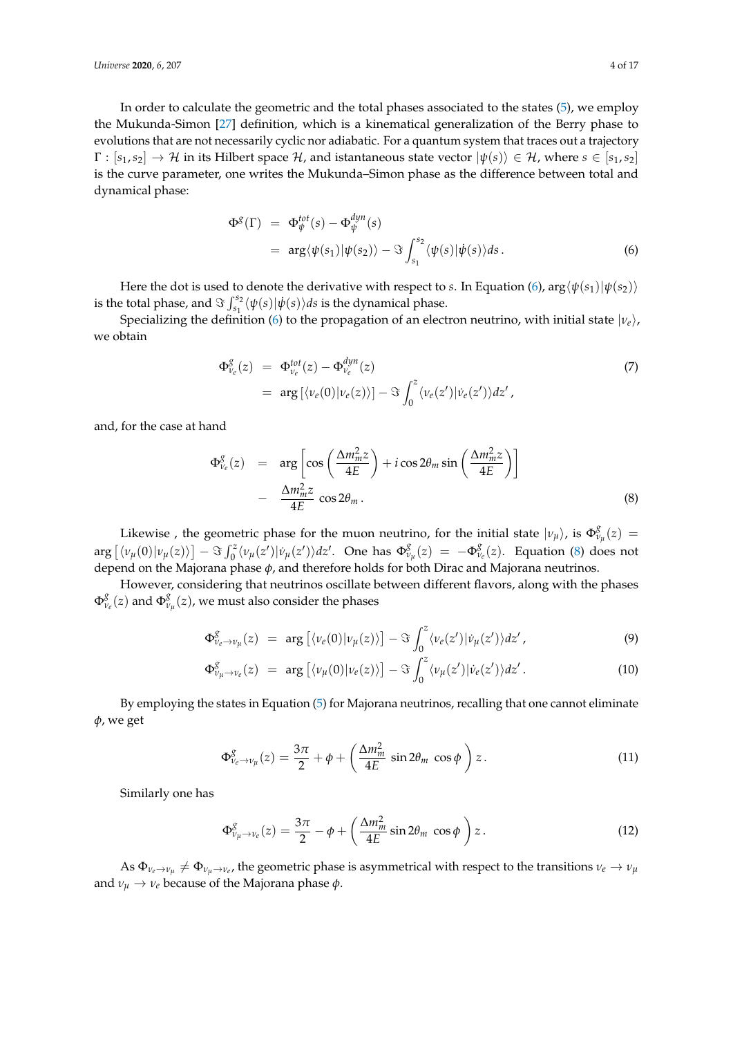In order to calculate the geometric and the total phases associated to the states [\(5\)](#page-2-1), we employ the Mukunda-Simon [\[27\]](#page-13-5) definition, which is a kinematical generalization of the Berry phase to evolutions that are not necessarily cyclic nor adiabatic. For a quantum system that traces out a trajectory  $\Gamma : [s_1, s_2] \to \mathcal{H}$  in its Hilbert space  $\mathcal{H}$ , and istantaneous state vector  $|\psi(s)\rangle \in \mathcal{H}$ , where  $s \in [s_1, s_2]$ is the curve parameter, one writes the Mukunda–Simon phase as the difference between total and dynamical phase:

<span id="page-3-0"></span>
$$
\Phi^{\mathcal{S}}(\Gamma) = \Phi_{\psi}^{tot}(s) - \Phi_{\psi}^{dyn}(s)
$$
  
=  $\arg \langle \psi(s_1) | \psi(s_2) \rangle - \Im \int_{s_1}^{s_2} \langle \psi(s) | \dot{\psi}(s) \rangle ds.$  (6)

Here the dot is used to denote the derivative with respect to *s*. In Equation [\(6\)](#page-3-0),  $\arg\langle \psi(s_1)|\psi(s_2)\rangle$ is the total phase, and  $\Im \int_{s_1}^{s_2} \langle \psi(s) | \dot{\psi}(s) \rangle ds$  is the dynamical phase.

Specializing the definition [\(6\)](#page-3-0) to the propagation of an electron neutrino, with initial state  $|\nu_e\rangle$ , we obtain

$$
\Phi_{\nu_e}^g(z) = \Phi_{\nu_e}^{tot}(z) - \Phi_{\nu_e}^{dyn}(z)
$$
\n
$$
= \arg \left[ \langle \nu_e(0) | \nu_e(z) \rangle \right] - \Im \int_0^z \langle \nu_e(z') | \dot{\nu}_e(z') \rangle dz', \tag{7}
$$

and, for the case at hand

<span id="page-3-1"></span>
$$
\Phi_{\nu_e}^g(z) = \arg \left[ \cos \left( \frac{\Delta m_m^2 z}{4E} \right) + i \cos 2\theta_m \sin \left( \frac{\Delta m_m^2 z}{4E} \right) \right] \n- \frac{\Delta m_m^2 z}{4E} \cos 2\theta_m.
$$
\n(8)

Likewise , the geometric phase for the muon neutrino, for the initial state  $|\nu_{\mu}\rangle$ , is  $\Phi_{\nu}^{\!\{S}}$  $v_{\mu}^{8}(z) =$  $\arg \left[ \langle v_\mu(0) | v_\mu(z) \rangle \right] - \Im \int_0^z \langle v_\mu(z') | v_\mu(z') \rangle dz'.$  One has  $\Phi_\nu^g$  $\frac{g}{v_{\mu}}(z) = -\Phi_{\nu}^{g}$ *νe* (*z*). Equation [\(8\)](#page-3-1) does not depend on the Majorana phase *φ*, and therefore holds for both Dirac and Majorana neutrinos.

However, considering that neutrinos oscillate between different flavors, along with the phases  $\Phi^g_\nu$ *νe* (*z*) and Φ *g*  $v_{\mu}^{g}(z)$ , we must also consider the phases

<span id="page-3-2"></span>
$$
\Phi_{\nu_e \to \nu_\mu}^g(z) = \arg \left[ \langle \nu_e(0) | \nu_\mu(z) \rangle \right] - \Im \int_0^z \langle \nu_e(z') | \dot{\nu}_\mu(z') \rangle dz', \tag{9}
$$

$$
\Phi_{\nu_{\mu}\to\nu_{e}}^{g}(z) = \arg \left[ \langle \nu_{\mu}(0) | \nu_{e}(z) \rangle \right] - \Im \int_{0}^{z} \langle \nu_{\mu}(z') | \dot{\nu}_{e}(z') \rangle dz' . \tag{10}
$$

By employing the states in Equation [\(5\)](#page-2-1) for Majorana neutrinos, recalling that one cannot eliminate *φ*, we get

<span id="page-3-3"></span>
$$
\Phi_{\nu_e \to \nu_\mu}^g(z) = \frac{3\pi}{2} + \phi + \left(\frac{\Delta m_m^2}{4E} \sin 2\theta_m \cos \phi\right) z. \tag{11}
$$

Similarly one has

<span id="page-3-4"></span>
$$
\Phi_{\nu_{\mu}\to\nu_{e}}^{g}(z) = \frac{3\pi}{2} - \phi + \left(\frac{\Delta m_{m}^{2}}{4E}\sin 2\theta_{m}\,\cos\phi\,\right)z.\tag{12}
$$

As  $\Phi_{\nu_e\to\nu_\mu}\neq\Phi_{\nu_\mu\to\nu_e}$ , the geometric phase is asymmetrical with respect to the transitions  $\nu_e\to\nu_\mu$ and  $\nu_{\mu} \rightarrow \nu_{e}$  because of the Majorana phase  $\phi$ .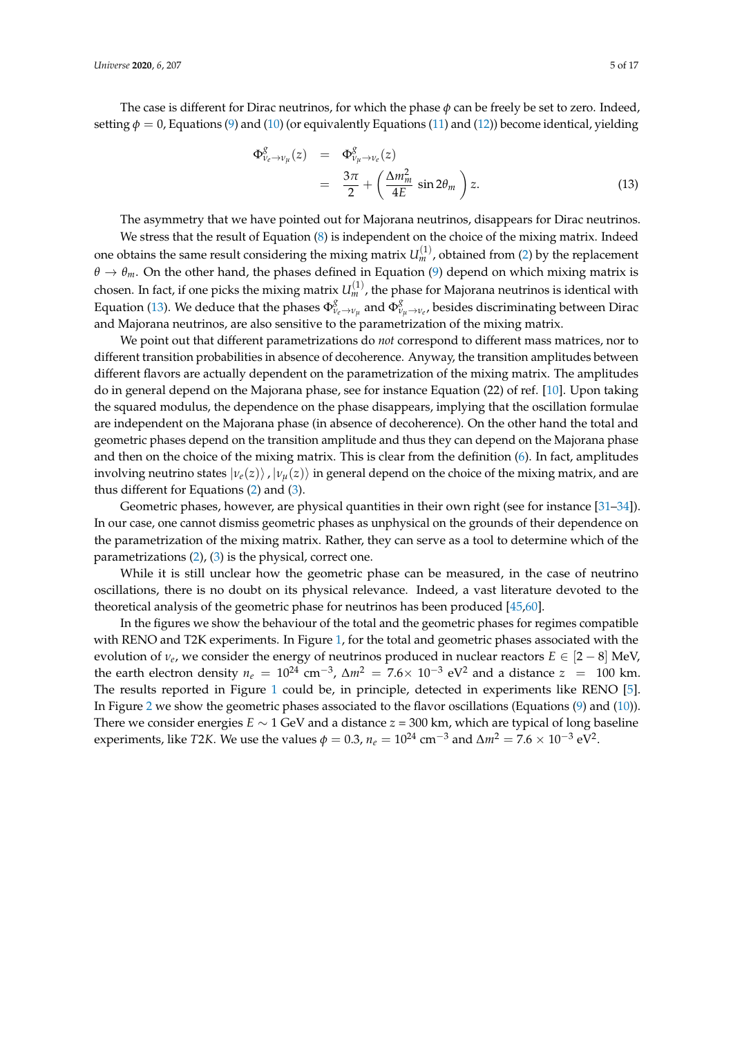The case is different for Dirac neutrinos, for which the phase *φ* can be freely be set to zero. Indeed, setting  $\phi = 0$ , Equations [\(9\)](#page-3-2) and [\(10\)](#page-3-2) (or equivalently Equations [\(11\)](#page-3-3) and [\(12\)](#page-3-4)) become identical, yielding

<span id="page-4-0"></span>
$$
\Phi_{\nu_e \to \nu_\mu}^g(z) = \Phi_{\nu_\mu \to \nu_e}^g(z)
$$
  
= 
$$
\frac{3\pi}{2} + \left(\frac{\Delta m_m^2}{4E} \sin 2\theta_m\right) z.
$$
 (13)

The asymmetry that we have pointed out for Majorana neutrinos, disappears for Dirac neutrinos.

We stress that the result of Equation [\(8\)](#page-3-1) is independent on the choice of the mixing matrix. Indeed one obtains the same result considering the mixing matrix  $U_m^{(1)}$ , obtained from [\(2\)](#page-1-0) by the replacement  $\theta \to \theta_m$ . On the other hand, the phases defined in Equation [\(9\)](#page-3-2) depend on which mixing matrix is chosen. In fact, if one picks the mixing matrix  $U_m^{(1)}$ , the phase for Majorana neutrinos is identical with Equation [\(13\)](#page-4-0). We deduce that the phases  $\Phi_{\nu_e\to\nu_\mu}^g$  and  $\Phi_{\nu_\mu\to\nu_e}^g$ , besides discriminating between Dirac and Majorana neutrinos, are also sensitive to the parametrization of the mixing matrix.

We point out that different parametrizations do *not* correspond to different mass matrices, nor to different transition probabilities in absence of decoherence. Anyway, the transition amplitudes between different flavors are actually dependent on the parametrization of the mixing matrix. The amplitudes do in general depend on the Majorana phase, see for instance Equation (22) of ref. [\[10\]](#page-12-4). Upon taking the squared modulus, the dependence on the phase disappears, implying that the oscillation formulae are independent on the Majorana phase (in absence of decoherence). On the other hand the total and geometric phases depend on the transition amplitude and thus they can depend on the Majorana phase and then on the choice of the mixing matrix. This is clear from the definition [\(6\)](#page-3-0). In fact, amplitudes involving neutrino states  $|\nu_e(z)\rangle$ ,  $|\nu_u(z)\rangle$  in general depend on the choice of the mixing matrix, and are thus different for Equations [\(2\)](#page-1-0) and [\(3\)](#page-1-1).

Geometric phases, however, are physical quantities in their own right (see for instance [\[31](#page-13-3)[–34\]](#page-13-0)). In our case, one cannot dismiss geometric phases as unphysical on the grounds of their dependence on the parametrization of the mixing matrix. Rather, they can serve as a tool to determine which of the parametrizations [\(2\)](#page-1-0), [\(3\)](#page-1-1) is the physical, correct one.

While it is still unclear how the geometric phase can be measured, in the case of neutrino oscillations, there is no doubt on its physical relevance. Indeed, a vast literature devoted to the theoretical analysis of the geometric phase for neutrinos has been produced [\[45](#page-14-0)[,60\]](#page-14-1).

In the figures we show the behaviour of the total and the geometric phases for regimes compatible with RENO and T2K experiments. In Figure [1,](#page-5-0) for the total and geometric phases associated with the evolution of  $v_e$ , we consider the energy of neutrinos produced in nuclear reactors  $E \in [2-8]$  MeV, the earth electron density  $n_e = 10^{24}$  cm<sup>-3</sup>,  $\Delta m^2 = 7.6 \times 10^{-3}$  eV<sup>2</sup> and a distance  $z = 100$  km. The results reported in Figure [1](#page-5-0) could be, in principle, detected in experiments like RENO [\[5\]](#page-12-12). In Figure [2](#page-5-1) we show the geometric phases associated to the flavor oscillations (Equations [\(9\)](#page-3-2) and [\(10\)](#page-3-2)). There we consider energies *E* ∼ 1 GeV and a distance *z* = 300 km, which are typical of long baseline experiments, like *T*2*K*. We use the values  $\phi = 0.3$ ,  $n_e = 10^{24}$  cm<sup>-3</sup> and  $\Delta m^2 = 7.6 \times 10^{-3}$  eV<sup>2</sup>.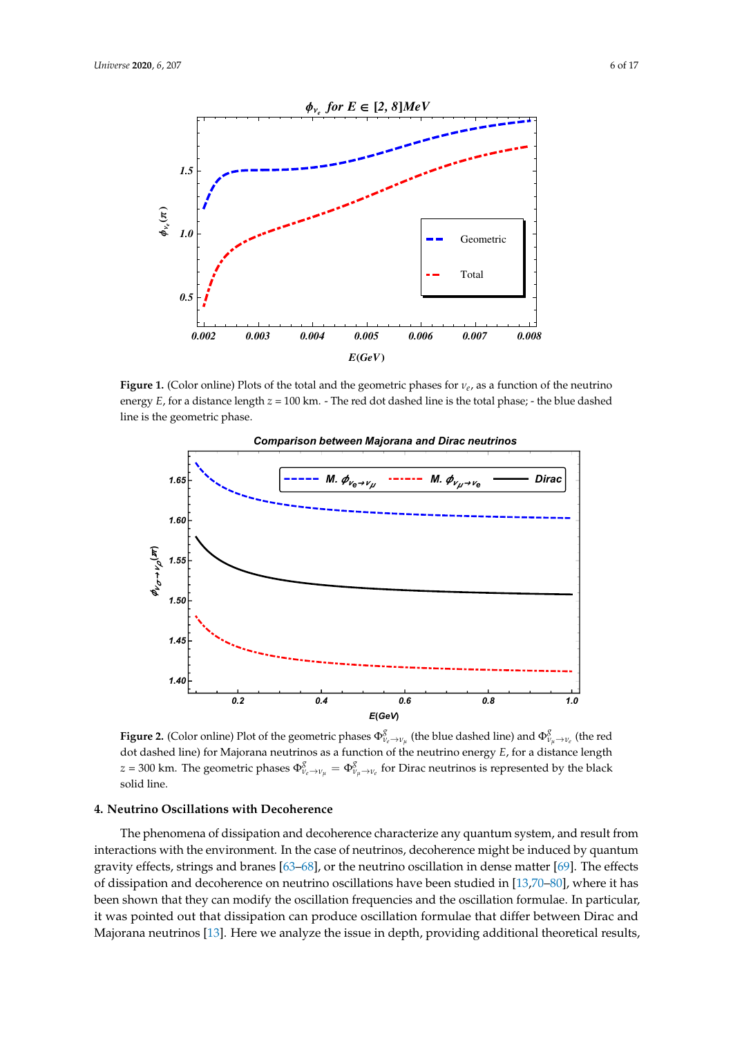<span id="page-5-0"></span>

**Figure 1.** (Color online) Plots of the total and the geometric phases for *νe*, as a function of the neutrino energy  $E$ , for a distance length  $z = 100$  km. - The red dot dashed line is the total phase; - the blue dashed line is the geometric phase.

<span id="page-5-1"></span>

**Figure 2.** (Color online) Plot of the geometric phases  $\Phi^g_{\nu_e\to\nu_\mu}$  (the blue dashed line) and  $\Phi^g_{\nu_\mu\to\nu_e}$  (the red dot dashed line) for Majorana neutrinos as a function of the neutrino energy *E*, for a distance length *z* = 300 km. The geometric phases  $\Phi^g_{\nu_e\to\nu_\mu}=\Phi^g_{\nu_\mu\to\nu_e}$  for Dirac neutrinos is represented by the black solid line.

# **4. Neutrino Oscillations with Decoherence**

The phenomena of dissipation and decoherence characterize any quantum system, and result from interactions with the environment. In the case of neutrinos, decoherence might be induced by quantum gravity effects, strings and branes [\[63–](#page-14-4)[68\]](#page-14-5), or the neutrino oscillation in dense matter [\[69\]](#page-14-6). The effects of dissipation and decoherence on neutrino oscillations have been studied in [\[13](#page-12-7)[,70–](#page-14-7)[80\]](#page-15-0), where it has been shown that they can modify the oscillation frequencies and the oscillation formulae. In particular, it was pointed out that dissipation can produce oscillation formulae that differ between Dirac and Majorana neutrinos [\[13\]](#page-12-7). Here we analyze the issue in depth, providing additional theoretical results,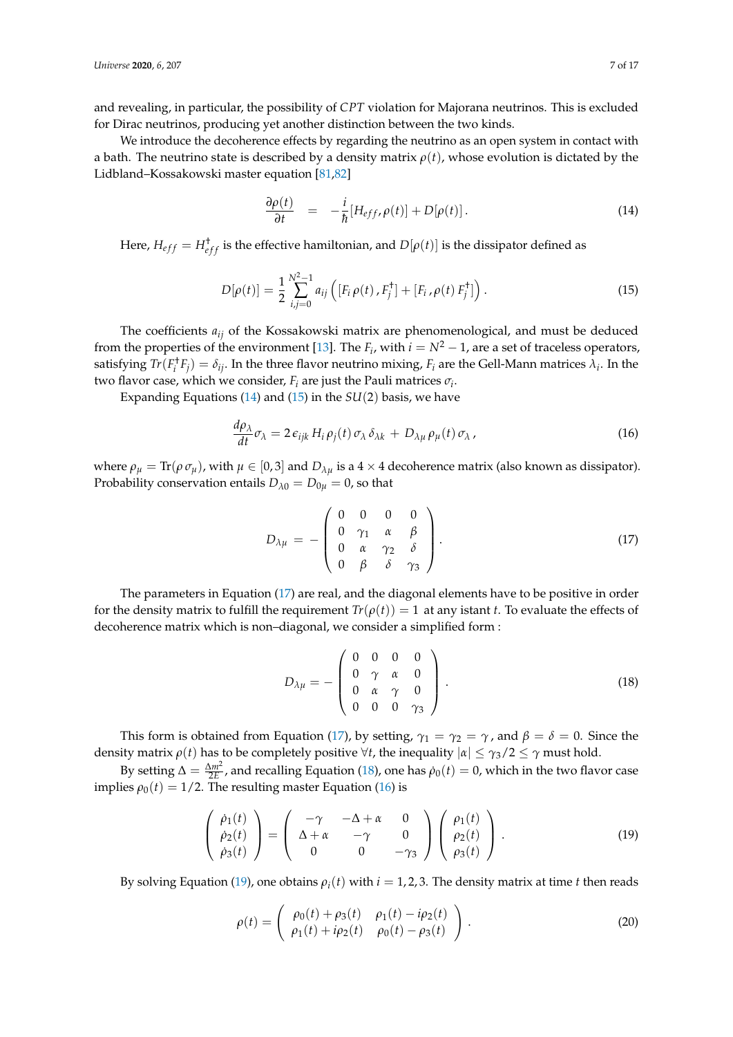and revealing, in particular, the possibility of *CPT* violation for Majorana neutrinos. This is excluded for Dirac neutrinos, producing yet another distinction between the two kinds.

We introduce the decoherence effects by regarding the neutrino as an open system in contact with a bath. The neutrino state is described by a density matrix *ρ*(*t*), whose evolution is dictated by the Lidbland–Kossakowski master equation [\[81](#page-15-1)[,82\]](#page-15-2)

<span id="page-6-0"></span>
$$
\frac{\partial \rho(t)}{\partial t} = -\frac{i}{\hbar} [H_{eff}, \rho(t)] + D[\rho(t)]. \qquad (14)
$$

Here,  $H_{eff} = H_{eff}^{\dagger}$  is the effective hamiltonian, and  $D[\rho(t)]$  is the dissipator defined as

<span id="page-6-1"></span>
$$
D[\rho(t)] = \frac{1}{2} \sum_{i,j=0}^{N^2-1} a_{ij} \left( [F_i \rho(t), F_j^{\dagger}] + [F_i, \rho(t) F_j^{\dagger}] \right).
$$
 (15)

The coefficients *aij* of the Kossakowski matrix are phenomenological, and must be deduced from the properties of the environment [\[13\]](#page-12-7). The  $F_i$ , with  $i = N^2 - 1$ , are a set of traceless operators, satisfying  $Tr(F_i^{\dagger}F_j) = \delta_{ij}$ . In the three flavor neutrino mixing,  $F_i$  are the Gell-Mann matrices  $\lambda_i$ . In the two flavor case, which we consider,  $F_i$  are just the Pauli matrices  $\sigma_i$ .

Expanding Equations [\(14\)](#page-6-0) and [\(15\)](#page-6-1) in the *SU*(2) basis, we have

<span id="page-6-4"></span>
$$
\frac{d\rho_{\lambda}}{dt}\sigma_{\lambda} = 2\,\epsilon_{ijk}\,H_i\,\rho_j(t)\,\sigma_{\lambda}\,\delta_{\lambda k} + D_{\lambda\mu}\,\rho_{\mu}(t)\,\sigma_{\lambda}\,,\tag{16}
$$

where  $\rho_{\mu} = \text{Tr}(\rho \sigma_{\mu})$ , with  $\mu \in [0, 3]$  and  $D_{\lambda \mu}$  is a 4 × 4 decoherence matrix (also known as dissipator). Probability conservation entails  $D_{\lambda 0} = D_{0\mu} = 0$ , so that

<span id="page-6-2"></span>
$$
D_{\lambda\mu} = -\begin{pmatrix} 0 & 0 & 0 & 0 \\ 0 & \gamma_1 & \alpha & \beta \\ 0 & \alpha & \gamma_2 & \delta \\ 0 & \beta & \delta & \gamma_3 \end{pmatrix}.
$$
 (17)

The parameters in Equation [\(17\)](#page-6-2) are real, and the diagonal elements have to be positive in order for the density matrix to fulfill the requirement  $Tr(\rho(t)) = 1$  at any istant *t*. To evaluate the effects of decoherence matrix which is non–diagonal, we consider a simplified form :

<span id="page-6-3"></span>
$$
D_{\lambda\mu} = -\begin{pmatrix} 0 & 0 & 0 & 0 \\ 0 & \gamma & \alpha & 0 \\ 0 & \alpha & \gamma & 0 \\ 0 & 0 & 0 & \gamma_3 \end{pmatrix} . \tag{18}
$$

This form is obtained from Equation [\(17\)](#page-6-2), by setting,  $\gamma_1 = \gamma_2 = \gamma$ , and  $\beta = \delta = 0$ . Since the density matrix  $\rho(t)$  has to be completely positive  $\forall t$ , the inequality  $|\alpha| \leq \gamma_3/2 \leq \gamma$  must hold.

By setting  $\Delta = \frac{\Delta m^2}{2E}$ , and recalling Equation [\(18\)](#page-6-3), one has  $\dot{\rho}_0(t) = 0$ , which in the two flavor case implies  $\rho_0(t) = 1/2$ . The resulting master Equation [\(16\)](#page-6-4) is

<span id="page-6-5"></span>
$$
\begin{pmatrix}\n\dot{\rho}_1(t) \\
\dot{\rho}_2(t) \\
\dot{\rho}_3(t)\n\end{pmatrix} = \begin{pmatrix}\n-\gamma & -\Delta + \alpha & 0 \\
\Delta + \alpha & -\gamma & 0 \\
0 & 0 & -\gamma_3\n\end{pmatrix} \begin{pmatrix}\n\rho_1(t) \\
\rho_2(t) \\
\rho_3(t)\n\end{pmatrix}.
$$
\n(19)

By solving Equation [\(19\)](#page-6-5), one obtains  $\rho_i(t)$  with  $i = 1, 2, 3$ . The density matrix at time *t* then reads

$$
\rho(t) = \begin{pmatrix} \rho_0(t) + \rho_3(t) & \rho_1(t) - i\rho_2(t) \\ \rho_1(t) + i\rho_2(t) & \rho_0(t) - \rho_3(t) \end{pmatrix} .
$$
 (20)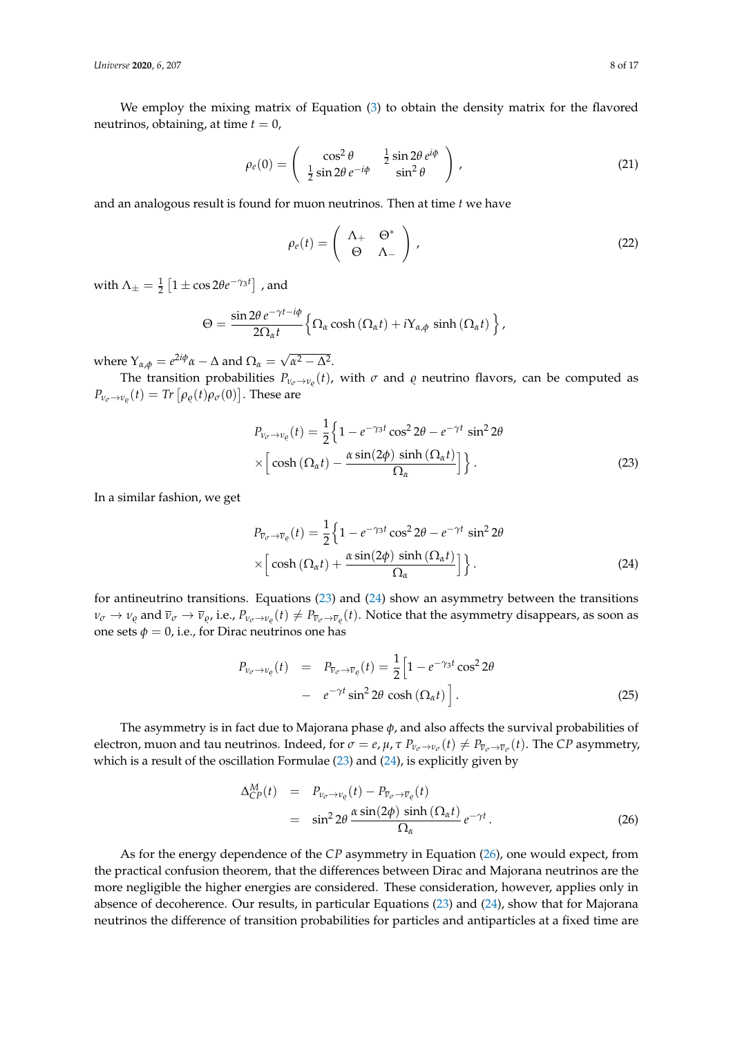We employ the mixing matrix of Equation [\(3\)](#page-1-1) to obtain the density matrix for the flavored neutrinos, obtaining, at time  $t = 0$ ,

$$
\rho_e(0) = \begin{pmatrix} \cos^2 \theta & \frac{1}{2} \sin 2\theta \, e^{i\phi} \\ \frac{1}{2} \sin 2\theta \, e^{-i\phi} & \sin^2 \theta \end{pmatrix},\tag{21}
$$

and an analogous result is found for muon neutrinos. Then at time *t* we have

$$
\rho_e(t) = \begin{pmatrix} \Lambda_+ & \Theta^* \\ \Theta & \Lambda_- \end{pmatrix},\tag{22}
$$

with  $\Lambda_{\pm} = \frac{1}{2} \left[ 1 \pm \cos 2\theta e^{-\gamma_3 t} \right]$  , and

<span id="page-7-0"></span>
$$
\Theta = \frac{\sin 2\theta \, e^{-\gamma t - i\phi}}{2\Omega_{\alpha} t} \Big\{ \Omega_{\alpha} \cosh\left(\Omega_{\alpha} t\right) + i\Upsilon_{\alpha,\phi} \sinh\left(\Omega_{\alpha} t\right) \Big\} \,,
$$

where  $Y_{\alpha,\phi} = e^{2i\phi}\alpha - \Delta$  and  $\Omega_{\alpha} = \sqrt{\frac{(\alpha-\beta)^2}{2\pi}}$  $α<sup>2</sup> - Δ<sup>2</sup>$ .

The transition probabilities  $P_{\nu_{\sigma} \to \nu_{\varrho}}(t)$ , with  $\sigma$  and  $\varrho$  neutrino flavors, can be computed as  $P_{\nu_{\sigma}\rightarrow\nu_{\varrho}}(t) = \textit{Tr}\left[\rho_{\varrho}(t)\rho_{\sigma}(0)\right]$ . These are

$$
P_{v_{\sigma} \to v_{\varrho}}(t) = \frac{1}{2} \left\{ 1 - e^{-\gamma_5 t} \cos^2 2\theta - e^{-\gamma t} \sin^2 2\theta \right\}
$$

$$
\times \left[ \cosh \left( \Omega_{\alpha} t \right) - \frac{\alpha \sin(2\phi) \sinh \left( \Omega_{\alpha} t \right)}{\Omega_{\alpha}} \right] \right\}.
$$
 (23)

In a similar fashion, we get

<span id="page-7-1"></span>
$$
P_{\overline{\nu}_{\sigma} \to \overline{\nu}_{\varrho}}(t) = \frac{1}{2} \left\{ 1 - e^{-\gamma_3 t} \cos^2 2\theta - e^{-\gamma t} \sin^2 2\theta \right\}
$$

$$
\times \left[ \cosh \left( \Omega_{\alpha} t \right) + \frac{\alpha \sin(2\phi) \sinh \left( \Omega_{\alpha} t \right)}{\Omega_{\alpha}} \right] \right\}.
$$
 (24)

for antineutrino transitions. Equations [\(23\)](#page-7-0) and [\(24\)](#page-7-1) show an asymmetry between the transitions  $\nu_\sigma\to\nu_\varrho$  and  $\overline{\nu}_\sigma\to\overline{\nu}_\varrho$ , i.e.,  $P_{\nu_\sigma\to\nu_\varrho}(t)\neq P_{\overline{\nu}_\sigma\to\overline{\nu}_\varrho}(t)$ . Notice that the asymmetry disappears, as soon as one sets  $\phi = 0$ , i.e., for Dirac neutrinos one has

<span id="page-7-3"></span>
$$
P_{\nu_{\sigma} \to \nu_{\varrho}}(t) = P_{\overline{\nu}_{\sigma} \to \overline{\nu}_{\varrho}}(t) = \frac{1}{2} \Big[ 1 - e^{-\gamma_3 t} \cos^2 2\theta - e^{-\gamma t} \sin^2 2\theta \cosh(\Omega_{\alpha} t) \Big].
$$
\n(25)

The asymmetry is in fact due to Majorana phase *φ*, and also affects the survival probabilities of electron, muon and tau neutrinos. Indeed, for  $\sigma = e$ ,  $\mu$ , τ  $P_{\nu_\sigma \to \nu_\sigma}(t) \neq P_{\overline{\nu}_\sigma \to \overline{\nu}_\sigma}(t)$ . The CP asymmetry, which is a result of the oscillation Formulae [\(23\)](#page-7-0) and [\(24\)](#page-7-1), is explicitly given by

<span id="page-7-2"></span>
$$
\Delta_{CP}^{M}(t) = P_{\nu_{\sigma} \to \nu_{\varrho}}(t) - P_{\overline{\nu}_{\sigma} \to \overline{\nu}_{\varrho}}(t)
$$
\n
$$
= \sin^2 2\theta \frac{\alpha \sin(2\phi) \sinh(\Omega_{\alpha}t)}{\Omega_{\alpha}} e^{-\gamma t}.
$$
\n(26)

As for the energy dependence of the *CP* asymmetry in Equation [\(26\)](#page-7-2), one would expect, from the practical confusion theorem, that the differences between Dirac and Majorana neutrinos are the more negligible the higher energies are considered. These consideration, however, applies only in absence of decoherence. Our results, in particular Equations [\(23\)](#page-7-0) and [\(24\)](#page-7-1), show that for Majorana neutrinos the difference of transition probabilities for particles and antiparticles at a fixed time are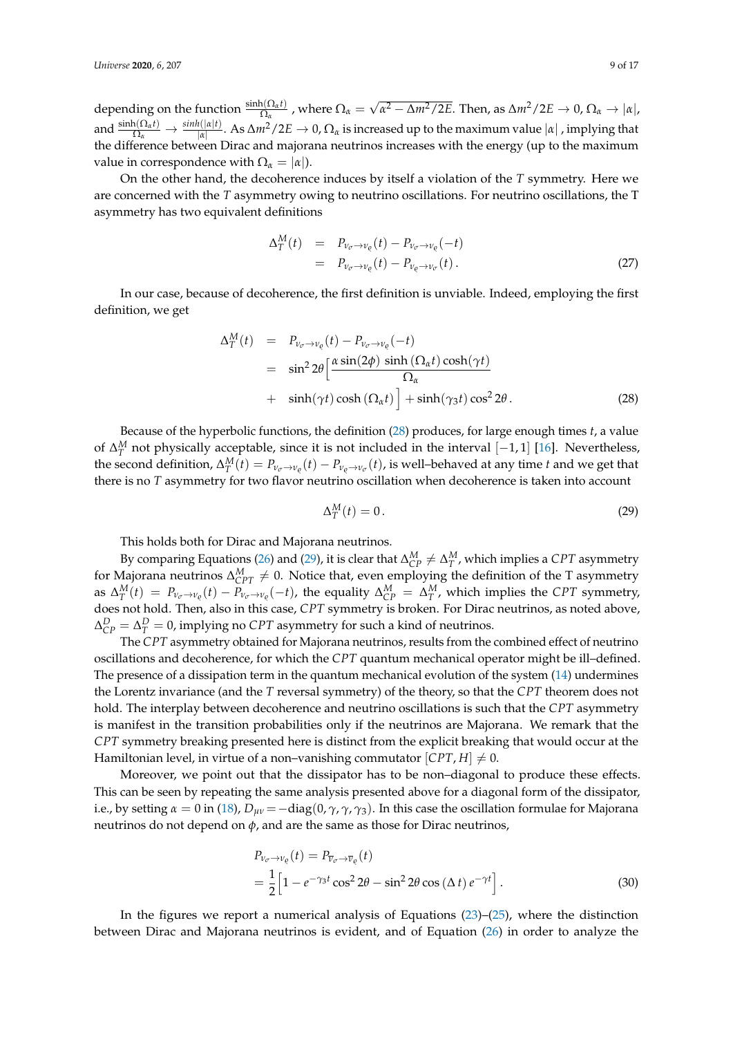depending on the function  $\frac{\sinh(\Omega_{\alpha}t)}{\Omega_{\alpha}}$ , where  $\Omega_{\alpha} =$ √  $\alpha^2$  − Δ*m*<sup>2</sup>/2*E*. Then, as Δ*m*<sup>2</sup>/2*E* → 0, Ω<sub>α</sub> → |α|, and  $\frac{\sinh(\Omega_{\alpha}t)}{\Omega_{\alpha}} \to \frac{\sinh(|\alpha|t)}{|\alpha|}$ . As  $\Delta m^2/2E \to 0$ ,  $\Omega_{\alpha}$  is increased up to the maximum value  $|\alpha|$  , implying that the difference between Dirac and majorana neutrinos increases with the energy (up to the maximum value in correspondence with  $\Omega_{\alpha} = |\alpha|$ ).

On the other hand, the decoherence induces by itself a violation of the *T* symmetry. Here we are concerned with the *T* asymmetry owing to neutrino oscillations. For neutrino oscillations, the T asymmetry has two equivalent definitions

$$
\Delta_T^M(t) = P_{\nu_{\sigma} \to \nu_{\varrho}}(t) - P_{\nu_{\sigma} \to \nu_{\varrho}}(-t)
$$
  
=  $P_{\nu_{\sigma} \to \nu_{\varrho}}(t) - P_{\nu_{\varrho} \to \nu_{\sigma}}(t)$ . (27)

In our case, because of decoherence, the first definition is unviable. Indeed, employing the first definition, we get

<span id="page-8-0"></span>
$$
\Delta_T^M(t) = P_{\nu_{\sigma} \to \nu_{\varrho}}(t) - P_{\nu_{\sigma} \to \nu_{\varrho}}(-t)
$$
  
\n
$$
= \sin^2 2\theta \left[ \frac{\alpha \sin(2\phi) \sinh(\Omega_{\alpha} t) \cosh(\gamma t)}{\Omega_{\alpha}} + \sinh(\gamma t) \cosh(\Omega_{\alpha} t) \right] + \sinh(\gamma_3 t) \cos^2 2\theta.
$$
 (28)

Because of the hyperbolic functions, the definition [\(28\)](#page-8-0) produces, for large enough times *t*, a value of  $\Delta_T^M$  not physically acceptable, since it is not included in the interval [−1, 1] [\[16\]](#page-12-10). Nevertheless, the second definition,  $\Delta_T^M(t) = P_{\nu_e \to \nu_e}(t) - P_{\nu_e \to \nu_\sigma}(t)$ , is well–behaved at any time *t* and we get that there is no *T* asymmetry for two flavor neutrino oscillation when decoherence is taken into account

<span id="page-8-1"></span>
$$
\Delta_T^M(t) = 0. \tag{29}
$$

This holds both for Dirac and Majorana neutrinos.

By comparing Equations [\(26\)](#page-7-2) and [\(29\)](#page-8-1), it is clear that  $\Delta_{CP}^M \neq \Delta_T^M$ , which implies a *CPT* asymmetry for Majorana neutrinos  $\Delta_{CPT}^M \neq 0$ . Notice that, even employing the definition of the T asymmetry as  $\Delta_T^M(t)\ =\ P_{\nu_\sigma\to\nu_\varrho}(t)-P_{\nu_\sigma\to\nu_\varrho}(-t)$ , the equality  $\Delta_{CP}^M\ =\ \Delta_T^M$ , which implies the CPT symmetry, does not hold. Then, also in this case, *CPT* symmetry is broken. For Dirac neutrinos, as noted above,  $\Delta_{CP}^D = \Delta_T^D = 0$ , implying no *CPT* asymmetry for such a kind of neutrinos.

The *CPT* asymmetry obtained for Majorana neutrinos, results from the combined effect of neutrino oscillations and decoherence, for which the *CPT* quantum mechanical operator might be ill–defined. The presence of a dissipation term in the quantum mechanical evolution of the system [\(14\)](#page-6-0) undermines the Lorentz invariance (and the *T* reversal symmetry) of the theory, so that the *CPT* theorem does not hold. The interplay between decoherence and neutrino oscillations is such that the *CPT* asymmetry is manifest in the transition probabilities only if the neutrinos are Majorana. We remark that the *CPT* symmetry breaking presented here is distinct from the explicit breaking that would occur at the Hamiltonian level, in virtue of a non–vanishing commutator  $[CPT, H] \neq 0$ .

Moreover, we point out that the dissipator has to be non–diagonal to produce these effects. This can be seen by repeating the same analysis presented above for a diagonal form of the dissipator, i.e., by setting  $\alpha = 0$  in [\(18\)](#page-6-3),  $D_{\mu\nu} = -\text{diag}(0, \gamma, \gamma, \gamma_3)$ . In this case the oscillation formulae for Majorana neutrinos do not depend on *φ*, and are the same as those for Dirac neutrinos,

<span id="page-8-2"></span>
$$
P_{\nu_{\sigma} \to \nu_{\varrho}}(t) = P_{\overline{\nu}_{\sigma} \to \overline{\nu}_{\varrho}}(t)
$$
  
=  $\frac{1}{2} \Big[ 1 - e^{-\gamma_3 t} \cos^2 2\theta - \sin^2 2\theta \cos (\Delta t) e^{-\gamma t} \Big].$  (30)

In the figures we report a numerical analysis of Equations [\(23\)](#page-7-0)–[\(25\)](#page-7-3), where the distinction between Dirac and Majorana neutrinos is evident, and of Equation [\(26\)](#page-7-2) in order to analyze the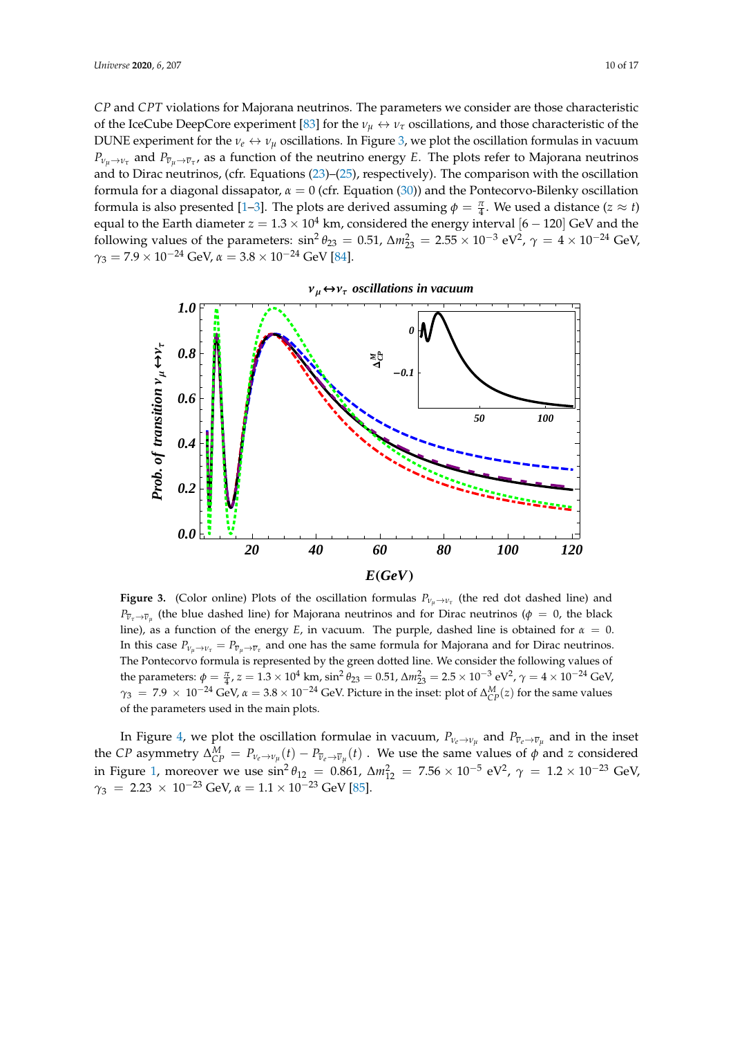*CP* and *CPT* violations for Majorana neutrinos. The parameters we consider are those characteristic of the IceCube DeepCore experiment [\[83\]](#page-15-3) for the  $\nu_\mu \leftrightarrow \nu_\tau$  oscillations, and those characteristic of the DUNE experiment for the  $v_e \leftrightarrow v_\mu$  oscillations. In Figure [3,](#page-9-0) we plot the oscillation formulas in vacuum  $P_{\nu_\mu\to\nu_\tau}$  and  $P_{\overline{\nu}_\mu\to\overline{\nu}_\tau}$ , as a function of the neutrino energy *E*. The plots refer to Majorana neutrinos and to Dirac neutrinos, (cfr. Equations [\(23\)](#page-7-0)–[\(25\)](#page-7-3), respectively). The comparison with the oscillation formula for a diagonal dissapator, *α* = 0 (cfr. Equation [\(30\)](#page-8-2)) and the Pontecorvo-Bilenky oscillation formula is also presented [\[1](#page-12-0)[–3\]](#page-12-1). The plots are derived assuming  $\phi = \frac{\pi}{4}$ . We used a distance (*z*  $\approx$  *t*) equal to the Earth diameter  $z = 1.3 \times 10^4$  km, considered the energy interval  $[6 - 120]$  GeV and the following values of the parameters:  $\sin^2 \theta_{23} = 0.51$ ,  $\Delta m_{23}^2 = 2.55 \times 10^{-3}$  eV<sup>2</sup>,  $\gamma = 4 \times 10^{-24}$  GeV,  $\gamma_3 = 7.9 \times 10^{-24}$  GeV,  $\alpha = 3.8 \times 10^{-24}$  GeV [\[84\]](#page-15-4).

<span id="page-9-0"></span>

**Figure 3.** (Color online) Plots of the oscillation formulas  $P_{\nu_\mu \to \nu_\tau}$  (the red dot dashed line) and  $P_{\overline{\nu}_\tau \to \overline{\nu}_\mu}$  (the blue dashed line) for Majorana neutrinos and for Dirac neutrinos ( $\phi~=~0$ , the black line), as a function of the energy *E*, in vacuum. The purple, dashed line is obtained for  $\alpha = 0$ . In this case  $P_{\nu_\mu \to \nu_\tau} = P_{\overline{\nu}_\mu \to \overline{\nu}_\tau}$  and one has the same formula for Majorana and for Dirac neutrinos. The Pontecorvo formula is represented by the green dotted line. We consider the following values of the parameters:  $\phi = \frac{\pi}{4}$ ,  $z = 1.3 \times 10^4$  km,  $\sin^2 \theta_{23} = 0.51$ ,  $\Delta m_{23}^2 = 2.5 \times 10^{-3}$  eV<sup>2</sup>,  $\gamma = 4 \times 10^{-24}$  GeV,  $\gamma_3 = 7.9 \times 10^{-24}$  GeV,  $\alpha = 3.8 \times 10^{-24}$  GeV. Picture in the inset: plot of  $\Delta_{CP}^M(z)$  for the same values of the parameters used in the main plots.

In Figure [4,](#page-10-0) we plot the oscillation formulae in vacuum,  $P_{\nu_e \to \nu_\mu}$  and  $P_{\overline{\nu}_e \to \overline{\nu}_\mu}$  and in the inset the *CP* asymmetry  $\Delta_{CP}^M = P_{\nu_e \to \nu_\mu}(t) - P_{\overline{\nu}_e \to \overline{\nu}_\mu}(t)$  . We use the same values of  $\phi$  and *z* considered in Figure [1,](#page-5-0) moreover we use  $\sin^2 \theta_{12} = 0.861$ ,  $\Delta m_{12}^2 = 7.56 \times 10^{-5}$  eV<sup>2</sup>,  $\gamma = 1.2 \times 10^{-23}$  GeV,  $\gamma_3$  = 2.23 × 10<sup>-23</sup> GeV,  $\alpha$  = 1.1 × 10<sup>-23</sup> GeV [\[85\]](#page-15-5).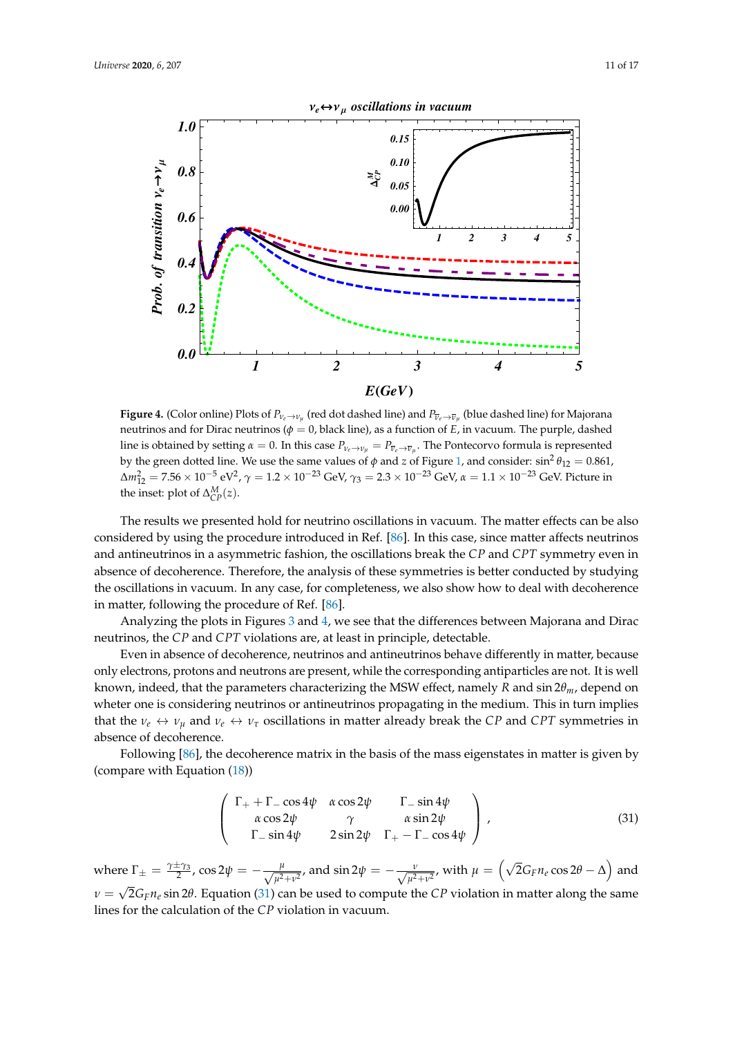<span id="page-10-0"></span>

**Figure 4.** (Color online) Plots of  $P_{\nu_e\to\nu_\mu}$  (red dot dashed line) and  $P_{\overline{\nu}_e\to\overline{\nu}_\mu}$  (blue dashed line) for Majorana neutrinos and for Dirac neutrinos (*φ* = 0, black line), as a function of *E*, in vacuum. The purple, dashed line is obtained by setting  $\alpha = 0$ . In this case  $P_{\nu_e \to \nu_\mu} = P_{\overline{\nu}_e \to \overline{\nu}_\mu}$ . The Pontecorvo formula is represented by the green dotted line. We use the same values of  $\phi$  and *z* of Figure [1,](#page-5-0) and consider:  $\sin^2\theta_{12} = 0.861$ ,  $Δm<sub>12</sub><sup>2</sup> = 7.56 × 10<sup>-5</sup> eV<sup>2</sup>$ ,  $γ = 1.2 × 10<sup>-23</sup> GeV$ ,  $γ<sub>3</sub> = 2.3 × 10<sup>-23</sup> GeV$ , *α* = 1.1 × 10<sup>-23</sup> GeV. Picture in the inset: plot of  $\Delta_{CP}^M(z)$ .

The results we presented hold for neutrino oscillations in vacuum. The matter effects can be also considered by using the procedure introduced in Ref. [\[86\]](#page-15-6). In this case, since matter affects neutrinos and antineutrinos in a asymmetric fashion, the oscillations break the *CP* and *CPT* symmetry even in absence of decoherence. Therefore, the analysis of these symmetries is better conducted by studying the oscillations in vacuum. In any case, for completeness, we also show how to deal with decoherence in matter, following the procedure of Ref. [\[86\]](#page-15-6).

Analyzing the plots in Figures [3](#page-9-0) and [4,](#page-10-0) we see that the differences between Majorana and Dirac neutrinos, the *CP* and *CPT* violations are, at least in principle, detectable.

Even in absence of decoherence, neutrinos and antineutrinos behave differently in matter, because only electrons, protons and neutrons are present, while the corresponding antiparticles are not. It is well known, indeed, that the parameters characterizing the MSW effect, namely *R* and sin 2*θm*, depend on wheter one is considering neutrinos or antineutrinos propagating in the medium. This in turn implies that the  $\nu_e \leftrightarrow \nu_\mu$  and  $\nu_e \leftrightarrow \nu_\tau$  oscillations in matter already break the *CP* and *CPT* symmetries in absence of decoherence.

Following [\[86\]](#page-15-6), the decoherence matrix in the basis of the mass eigenstates in matter is given by (compare with Equation [\(18\)](#page-6-3))

<span id="page-10-1"></span>
$$
\begin{pmatrix}\n\Gamma_+ + \Gamma_- \cos 4\psi & \alpha \cos 2\psi & \Gamma_- \sin 4\psi \\
\alpha \cos 2\psi & \gamma & \alpha \sin 2\psi \\
\Gamma_- \sin 4\psi & 2 \sin 2\psi & \Gamma_+ - \Gamma_- \cos 4\psi\n\end{pmatrix},
$$
\n(31)

where  $\Gamma_{\pm} = \frac{\gamma \pm \gamma_3}{2}$ , cos 2 $\psi = -\frac{\mu}{\sqrt{\mu^2}}$  $\frac{\mu}{\mu^2+v^2}$ , and  $\sin 2\psi = -\frac{v}{\sqrt{\mu^2+v^2}}$ , with  $\mu = \left(\sqrt{2}G_F n_e \cos 2\theta - \Delta\right)$  and  $ν = \sqrt{2} G_F n_e \sin 2\theta$ . Equation [\(31\)](#page-10-1) can be used to compute the *CP* violation in matter along the same √ lines for the calculation of the *CP* violation in vacuum.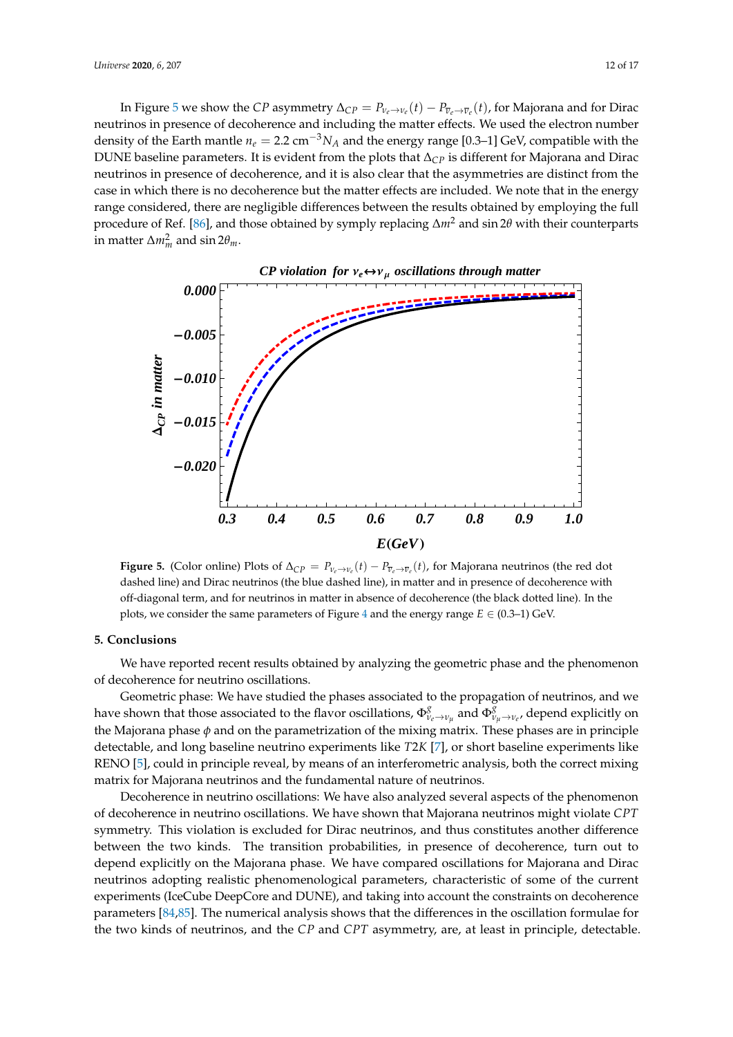In Figure [5](#page-11-0) we show the *CP* asymmetry  $\Delta_{CP} = P_{\nu_e \to \nu_e}(t) - P_{\overline{\nu}_e \to \overline{\nu}_e}(t)$ , for Majorana and for Dirac neutrinos in presence of decoherence and including the matter effects. We used the electron number density of the Earth mantle  $n_e = 2.2 \text{ cm}^{-3} N_A$  and the energy range [0.3–1] GeV, compatible with the DUNE baseline parameters. It is evident from the plots that ∆*CP* is different for Majorana and Dirac neutrinos in presence of decoherence, and it is also clear that the asymmetries are distinct from the case in which there is no decoherence but the matter effects are included. We note that in the energy range considered, there are negligible differences between the results obtained by employing the full procedure of Ref. [\[86\]](#page-15-6), and those obtained by symply replacing ∆*m*<sup>2</sup> and sin 2*θ* with their counterparts in matter  $\Delta m_m^2$  and sin 2 $\theta_m$ .

<span id="page-11-0"></span>

**Figure 5.** (Color online) Plots of  $\Delta_{CP} = P_{\nu_e \to \nu_e}(t) - P_{\overline{\nu}_e \to \overline{\nu}_e}(t)$ , for Majorana neutrinos (the red dot dashed line) and Dirac neutrinos (the blue dashed line), in matter and in presence of decoherence with off-diagonal term, and for neutrinos in matter in absence of decoherence (the black dotted line). In the plots, we consider the same parameters of Figure [4](#page-10-0) and the energy range  $E \in (0.3-1)$  GeV.

## **5. Conclusions**

We have reported recent results obtained by analyzing the geometric phase and the phenomenon of decoherence for neutrino oscillations.

Geometric phase: We have studied the phases associated to the propagation of neutrinos, and we have shown that those associated to the flavor oscillations,  $\Phi^g_{v_e \to v_\mu}$  and  $\Phi^{\bar{g}}_{v_\mu \to v_e}$ , depend explicitly on the Majorana phase *φ* and on the parametrization of the mixing matrix. These phases are in principle detectable, and long baseline neutrino experiments like *T*2*K* [\[7\]](#page-12-13), or short baseline experiments like RENO [\[5\]](#page-12-12), could in principle reveal, by means of an interferometric analysis, both the correct mixing matrix for Majorana neutrinos and the fundamental nature of neutrinos.

Decoherence in neutrino oscillations: We have also analyzed several aspects of the phenomenon of decoherence in neutrino oscillations. We have shown that Majorana neutrinos might violate *CPT* symmetry. This violation is excluded for Dirac neutrinos, and thus constitutes another difference between the two kinds. The transition probabilities, in presence of decoherence, turn out to depend explicitly on the Majorana phase. We have compared oscillations for Majorana and Dirac neutrinos adopting realistic phenomenological parameters, characteristic of some of the current experiments (IceCube DeepCore and DUNE), and taking into account the constraints on decoherence parameters [\[84,](#page-15-4)[85\]](#page-15-5). The numerical analysis shows that the differences in the oscillation formulae for the two kinds of neutrinos, and the *CP* and *CPT* asymmetry, are, at least in principle, detectable.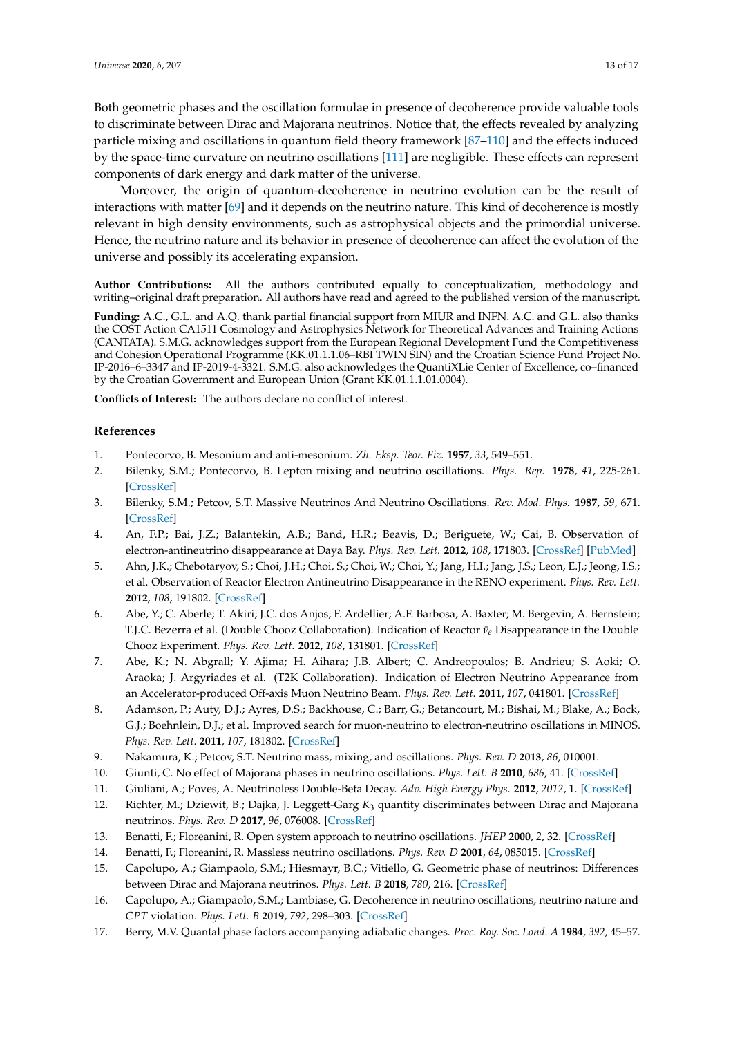Both geometric phases and the oscillation formulae in presence of decoherence provide valuable tools to discriminate between Dirac and Majorana neutrinos. Notice that, the effects revealed by analyzing particle mixing and oscillations in quantum field theory framework [\[87](#page-15-7)[–110\]](#page-16-0) and the effects induced by the space-time curvature on neutrino oscillations [\[111\]](#page-16-1) are negligible. These effects can represent components of dark energy and dark matter of the universe.

Moreover, the origin of quantum-decoherence in neutrino evolution can be the result of interactions with matter [\[69\]](#page-14-6) and it depends on the neutrino nature. This kind of decoherence is mostly relevant in high density environments, such as astrophysical objects and the primordial universe. Hence, the neutrino nature and its behavior in presence of decoherence can affect the evolution of the universe and possibly its accelerating expansion.

**Author Contributions:** All the authors contributed equally to conceptualization, methodology and writing–original draft preparation. All authors have read and agreed to the published version of the manuscript.

**Funding:** A.C., G.L. and A.Q. thank partial financial support from MIUR and INFN. A.C. and G.L. also thanks the COST Action CA1511 Cosmology and Astrophysics Network for Theoretical Advances and Training Actions (CANTATA). S.M.G. acknowledges support from the European Regional Development Fund the Competitiveness and Cohesion Operational Programme (KK.01.1.1.06–RBI TWIN SIN) and the Croatian Science Fund Project No. IP-2016–6–3347 and IP-2019-4-3321. S.M.G. also acknowledges the QuantiXLie Center of Excellence, co–financed by the Croatian Government and European Union (Grant KK.01.1.1.01.0004).

**Conflicts of Interest:** The authors declare no conflict of interest.

## **References**

- <span id="page-12-0"></span>1. Pontecorvo, B. Mesonium and anti-mesonium. *Zh. Eksp. Teor. Fiz.* **1957**, *33*, 549–551.
- 2. Bilenky, S.M.; Pontecorvo, B. Lepton mixing and neutrino oscillations. *Phys. Rep.* **1978**, *41*, 225-261. [\[CrossRef\]](http://dx.doi.org/10.1016/0370-1573(78)90095-9)
- <span id="page-12-1"></span>3. Bilenky, S.M.; Petcov, S.T. Massive Neutrinos And Neutrino Oscillations. *Rev. Mod. Phys.* **1987**, *59*, 671. [\[CrossRef\]](http://dx.doi.org/10.1103/RevModPhys.59.671)
- <span id="page-12-2"></span>4. An, F.P.; Bai, J.Z.; Balantekin, A.B.; Band, H.R.; Beavis, D.; Beriguete, W.; Cai, B. Observation of electron-antineutrino disappearance at Daya Bay. *Phys. Rev. Lett.* **2012**, *108*, 171803. [\[CrossRef\]](http://dx.doi.org/10.1103/PhysRevLett.108.171803) [\[PubMed\]](http://www.ncbi.nlm.nih.gov/pubmed/22680853)
- <span id="page-12-12"></span>5. Ahn, J.K.; Chebotaryov, S.; Choi, J.H.; Choi, S.; Choi, W.; Choi, Y.; Jang, H.I.; Jang, J.S.; Leon, E.J.; Jeong, I.S.; et al. Observation of Reactor Electron Antineutrino Disappearance in the RENO experiment. *Phys. Rev. Lett.* **2012**, *108*, 191802. [\[CrossRef\]](http://dx.doi.org/10.1103/PhysRevLett.108.191802)
- 6. Abe, Y.; C. Aberle; T. Akiri; J.C. dos Anjos; F. Ardellier; A.F. Barbosa; A. Baxter; M. Bergevin; A. Bernstein; T.J.C. Bezerra et al. (Double Chooz Collaboration). Indication of Reactor *ν*<sub>ε</sub> Disappearance in the Double Chooz Experiment. *Phys. Rev. Lett.* **2012**, *108*, 131801. [\[CrossRef\]](http://dx.doi.org/10.1103/PhysRevLett.108.131801)
- <span id="page-12-13"></span>7. Abe, K.; N. Abgrall; Y. Ajima; H. Aihara; J.B. Albert; C. Andreopoulos; B. Andrieu; S. Aoki; O. Araoka; J. Argyriades et al. (T2K Collaboration). Indication of Electron Neutrino Appearance from an Accelerator-produced Off-axis Muon Neutrino Beam. *Phys. Rev. Lett.* **2011**, *107*, 041801. [\[CrossRef\]](http://dx.doi.org/10.1103/PhysRevLett.107.041801)
- 8. Adamson, P.; Auty, D.J.; Ayres, D.S.; Backhouse, C.; Barr, G.; Betancourt, M.; Bishai, M.; Blake, A.; Bock, G.J.; Boehnlein, D.J.; et al. Improved search for muon-neutrino to electron-neutrino oscillations in MINOS. *Phys. Rev. Lett.* **2011**, *107*, 181802. [\[CrossRef\]](http://dx.doi.org/10.1103/PhysRevLett.107.181802)
- <span id="page-12-3"></span>9. Nakamura, K.; Petcov, S.T. Neutrino mass, mixing, and oscillations. *Phys. Rev. D* **2013**, *86*, 010001.
- <span id="page-12-4"></span>10. Giunti, C. No effect of Majorana phases in neutrino oscillations. *Phys. Lett. B* **2010**, *686*, 41. [\[CrossRef\]](http://dx.doi.org/10.1016/j.physletb.2010.02.020)
- <span id="page-12-5"></span>11. Giuliani, A.; Poves, A. Neutrinoless Double-Beta Decay. *Adv. High Energy Phys.* **2012**, *2012*, 1. [\[CrossRef\]](http://dx.doi.org/10.1155/2012/857016)
- <span id="page-12-6"></span>12. Richter, M.; Dziewit, B.; Dajka, J. Leggett-Garg *K*<sup>3</sup> quantity discriminates between Dirac and Majorana neutrinos. *Phys. Rev. D* **2017**, *96*, 076008. [\[CrossRef\]](http://dx.doi.org/10.1103/PhysRevD.96.076008)
- <span id="page-12-7"></span>13. Benatti, F.; Floreanini, R. Open system approach to neutrino oscillations. *JHEP* **2000**, *2*, 32. [\[CrossRef\]](http://dx.doi.org/10.1088/1126-6708/2000/02/032)
- <span id="page-12-8"></span>14. Benatti, F.; Floreanini, R. Massless neutrino oscillations. *Phys. Rev. D* **2001**, *64*, 085015. [\[CrossRef\]](http://dx.doi.org/10.1103/PhysRevD.64.085015)
- <span id="page-12-9"></span>15. Capolupo, A.; Giampaolo, S.M.; Hiesmayr, B.C.; Vitiello, G. Geometric phase of neutrinos: Differences between Dirac and Majorana neutrinos. *Phys. Lett. B* **2018**, *780*, 216. [\[CrossRef\]](http://dx.doi.org/10.1016/j.physletb.2018.03.016)
- <span id="page-12-10"></span>16. Capolupo, A.; Giampaolo, S.M.; Lambiase, G. Decoherence in neutrino oscillations, neutrino nature and *CPT* violation. *Phys. Lett. B* **2019**, *792*, 298–303. [\[CrossRef\]](http://dx.doi.org/10.1016/j.physletb.2019.03.062)
- <span id="page-12-11"></span>17. Berry, M.V. Quantal phase factors accompanying adiabatic changes. *Proc. Roy. Soc. Lond. A* **1984**, *392*, 45–57.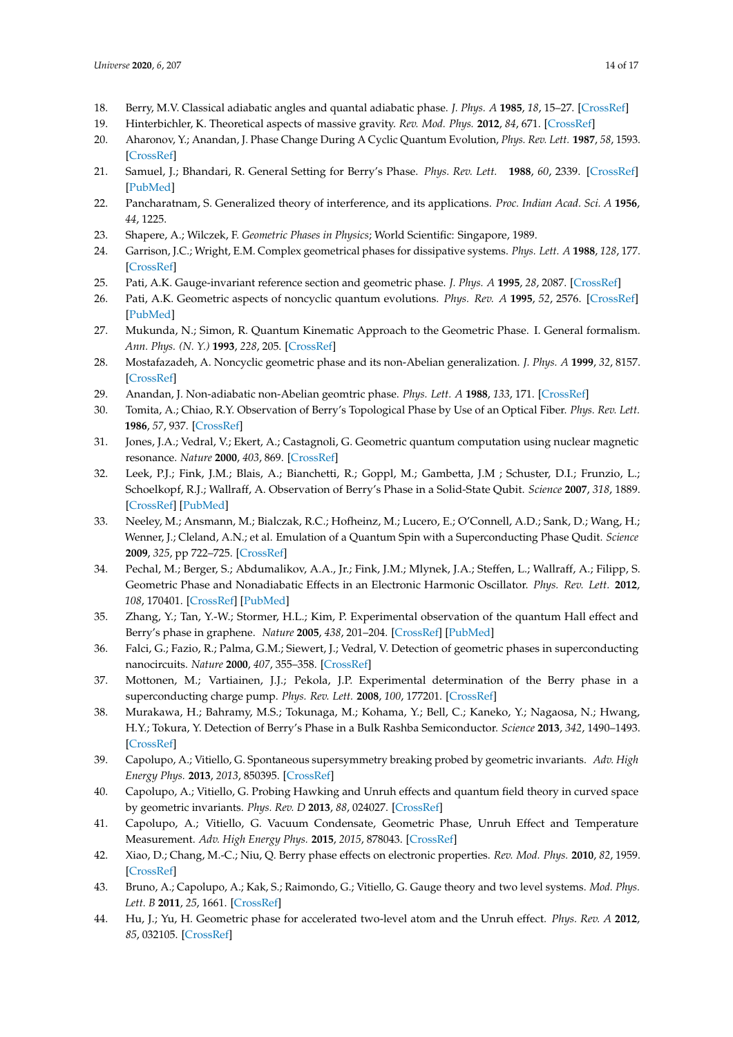- 18. Berry, M.V. Classical adiabatic angles and quantal adiabatic phase. *J. Phys. A* **1985**, *18*, 15–27. [\[CrossRef\]](http://dx.doi.org/10.1088/0305-4470/18/1/012)
- 19. Hinterbichler, K. Theoretical aspects of massive gravity. *Rev. Mod. Phys.* **2012**, *84*, 671. [\[CrossRef\]](http://dx.doi.org/10.1103/RevModPhys.84.671)
- 20. Aharonov, Y.; Anandan, J. Phase Change During A Cyclic Quantum Evolution, *Phys. Rev. Lett.* **1987**, *58*, 1593. [\[CrossRef\]](http://dx.doi.org/10.1103/PhysRevLett.58.1593)
- 21. Samuel, J.; Bhandari, R. General Setting for Berry's Phase. *Phys. Rev. Lett.* **1988**, *60*, 2339. [\[CrossRef\]](http://dx.doi.org/10.1103/PhysRevLett.60.2339) [\[PubMed\]](http://www.ncbi.nlm.nih.gov/pubmed/10038326)
- 22. Pancharatnam, S. Generalized theory of interference, and its applications. *Proc. Indian Acad. Sci. A* **1956**, *44*, 1225.
- 23. Shapere, A.; Wilczek, F. *Geometric Phases in Physics*; World Scientific: Singapore, 1989.
- 24. Garrison, J.C.; Wright, E.M. Complex geometrical phases for dissipative systems. *Phys. Lett. A* **1988**, *128*, 177. [\[CrossRef\]](http://dx.doi.org/10.1016/0375-9601(88)90905-X)
- 25. Pati, A.K. Gauge-invariant reference section and geometric phase. *J. Phys. A* **1995**, *28*, 2087. [\[CrossRef\]](http://dx.doi.org/10.1088/0305-4470/28/7/027)
- 26. Pati, A.K. Geometric aspects of noncyclic quantum evolutions. *Phys. Rev. A* **1995**, *52*, 2576. [\[CrossRef\]](http://dx.doi.org/10.1103/PhysRevA.52.2576) [\[PubMed\]](http://www.ncbi.nlm.nih.gov/pubmed/9912536)
- <span id="page-13-5"></span>27. Mukunda, N.; Simon, R. Quantum Kinematic Approach to the Geometric Phase. I. General formalism. *Ann. Phys. (N. Y.)* **1993**, *228*, 205. [\[CrossRef\]](http://dx.doi.org/10.1006/aphy.1993.1093)
- 28. Mostafazadeh, A. Noncyclic geometric phase and its non-Abelian generalization. *J. Phys. A* **1999**, *32*, 8157. [\[CrossRef\]](http://dx.doi.org/10.1088/0305-4470/32/46/312)
- 29. Anandan, J. Non-adiabatic non-Abelian geomtric phase. *Phys. Lett. A* **1988**, *133*, 171. [\[CrossRef\]](http://dx.doi.org/10.1016/0375-9601(88)91010-9)
- 30. Tomita, A.; Chiao, R.Y. Observation of Berry's Topological Phase by Use of an Optical Fiber. *Phys. Rev. Lett.* **1986**, *57*, 937. [\[CrossRef\]](http://dx.doi.org/10.1103/PhysRevLett.57.937)
- <span id="page-13-3"></span>31. Jones, J.A.; Vedral, V.; Ekert, A.; Castagnoli, G. Geometric quantum computation using nuclear magnetic resonance. *Nature* **2000**, *403*, 869. [\[CrossRef\]](http://dx.doi.org/10.1038/35002528)
- 32. Leek, P.J.; Fink, J.M.; Blais, A.; Bianchetti, R.; Goppl, M.; Gambetta, J.M ; Schuster, D.I.; Frunzio, L.; Schoelkopf, R.J.; Wallraff, A. Observation of Berry's Phase in a Solid-State Qubit. *Science* **2007**, *318*, 1889. [\[CrossRef\]](http://dx.doi.org/10.1126/science.1149858) [\[PubMed\]](http://www.ncbi.nlm.nih.gov/pubmed/18033851)
- 33. Neeley, M.; Ansmann, M.; Bialczak, R.C.; Hofheinz, M.; Lucero, E.; O'Connell, A.D.; Sank, D.; Wang, H.; Wenner, J.; Cleland, A.N.; et al. Emulation of a Quantum Spin with a Superconducting Phase Qudit. *Science* **2009**, *325*, pp 722–725. [\[CrossRef\]](http://dx.doi.org/10.1126/science.1173440)
- <span id="page-13-0"></span>34. Pechal, M.; Berger, S.; Abdumalikov, A.A., Jr.; Fink, J.M.; Mlynek, J.A.; Steffen, L.; Wallraff, A.; Filipp, S. Geometric Phase and Nonadiabatic Effects in an Electronic Harmonic Oscillator. *Phys. Rev. Lett.* **2012**, *108*, 170401. [\[CrossRef\]](http://dx.doi.org/10.1103/PhysRevLett.108.170401) [\[PubMed\]](http://www.ncbi.nlm.nih.gov/pubmed/22680840)
- <span id="page-13-1"></span>35. Zhang, Y.; Tan, Y.-W.; Stormer, H.L.; Kim, P. Experimental observation of the quantum Hall effect and Berry's phase in graphene. *Nature* **2005**, *438*, 201–204. [\[CrossRef\]](http://dx.doi.org/10.1038/nature04235) [\[PubMed\]](http://www.ncbi.nlm.nih.gov/pubmed/16281031)
- <span id="page-13-4"></span>36. Falci, G.; Fazio, R.; Palma, G.M.; Siewert, J.; Vedral, V. Detection of geometric phases in superconducting nanocircuits. *Nature* **2000**, *407*, 355–358. [\[CrossRef\]](http://dx.doi.org/10.1038/35030052)
- 37. Mottonen, M.; Vartiainen, J.J.; Pekola, J.P. Experimental determination of the Berry phase in a superconducting charge pump. *Phys. Rev. Lett.* **2008**, *100*, 177201. [\[CrossRef\]](http://dx.doi.org/10.1103/PhysRevLett.100.177201)
- 38. Murakawa, H.; Bahramy, M.S.; Tokunaga, M.; Kohama, Y.; Bell, C.; Kaneko, Y.; Nagaosa, N.; Hwang, H.Y.; Tokura, Y. Detection of Berry's Phase in a Bulk Rashba Semiconductor. *Science* **2013**, *342*, 1490–1493. [\[CrossRef\]](http://dx.doi.org/10.1126/science.1242247)
- 39. Capolupo, A.; Vitiello, G. Spontaneous supersymmetry breaking probed by geometric invariants. *Adv. High Energy Phys.* **2013**, *2013*, 850395. [\[CrossRef\]](http://dx.doi.org/10.1155/2013/850395)
- 40. Capolupo, A.; Vitiello, G. Probing Hawking and Unruh effects and quantum field theory in curved space by geometric invariants. *Phys. Rev. D* **2013**, *88*, 024027. [\[CrossRef\]](http://dx.doi.org/10.1103/PhysRevD.88.024027)
- 41. Capolupo, A.; Vitiello, G. Vacuum Condensate, Geometric Phase, Unruh Effect and Temperature Measurement. *Adv. High Energy Phys.* **2015**, *2015*, 878043. [\[CrossRef\]](http://dx.doi.org/10.1155/2015/878043)
- 42. Xiao, D.; Chang, M.-C.; Niu, Q. Berry phase effects on electronic properties. *Rev. Mod. Phys.* **2010**, *82*, 1959. [\[CrossRef\]](http://dx.doi.org/10.1103/RevModPhys.82.1959)
- 43. Bruno, A.; Capolupo, A.; Kak, S.; Raimondo, G.; Vitiello, G. Gauge theory and two level systems. *Mod. Phys. Lett. B* **2011**, *25*, 1661. [\[CrossRef\]](http://dx.doi.org/10.1142/S021798491102698X)
- <span id="page-13-2"></span>44. Hu, J.; Yu, H. Geometric phase for accelerated two-level atom and the Unruh effect. *Phys. Rev. A* **2012**, *85*, 032105. [\[CrossRef\]](http://dx.doi.org/10.1103/PhysRevA.85.032105)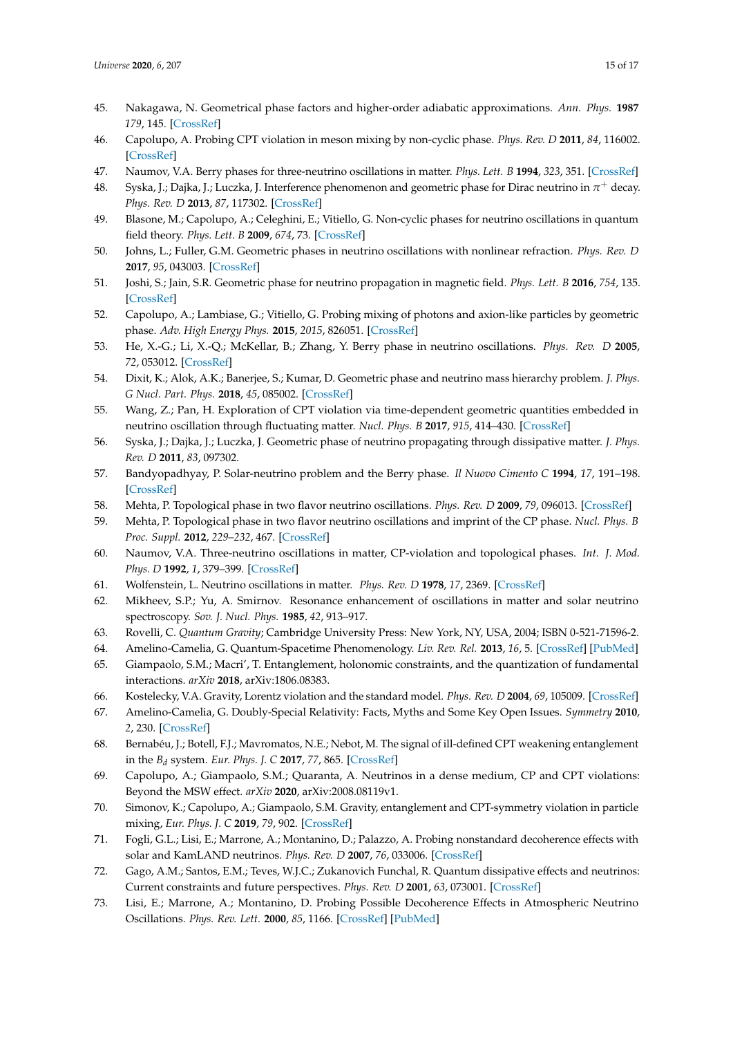- <span id="page-14-0"></span>45. Nakagawa, N. Geometrical phase factors and higher-order adiabatic approximations. *Ann. Phys.* **1987** *179*, 145. [\[CrossRef\]](http://dx.doi.org/10.1016/S0003-4916(87)80007-6)
- 46. Capolupo, A. Probing CPT violation in meson mixing by non-cyclic phase. *Phys. Rev. D* **2011**, *84*, 116002. [\[CrossRef\]](http://dx.doi.org/10.1103/PhysRevD.84.116002)
- 47. Naumov, V.A. Berry phases for three-neutrino oscillations in matter. *Phys. Lett. B* **1994**, *323*, 351. [\[CrossRef\]](http://dx.doi.org/10.1016/0370-2693(94)91231-9)
- 48. Syska, J.; Dajka, J.; Luczka, J. Interference phenomenon and geometric phase for Dirac neutrino in  $\pi^+$  decay. *Phys. Rev. D* **2013**, *87*, 117302. [\[CrossRef\]](http://dx.doi.org/10.1103/PhysRevD.87.117302)
- 49. Blasone, M.; Capolupo, A.; Celeghini, E.; Vitiello, G. Non-cyclic phases for neutrino oscillations in quantum field theory. *Phys. Lett. B* **2009**, *674*, 73. [\[CrossRef\]](http://dx.doi.org/10.1016/j.physletb.2009.03.004)
- 50. Johns, L.; Fuller, G.M. Geometric phases in neutrino oscillations with nonlinear refraction. *Phys. Rev. D* **2017**, *95*, 043003. [\[CrossRef\]](http://dx.doi.org/10.1103/PhysRevD.95.043003)
- 51. Joshi, S.; Jain, S.R. Geometric phase for neutrino propagation in magnetic field. *Phys. Lett. B* **2016**, *754*, 135. [\[CrossRef\]](http://dx.doi.org/10.1016/j.physletb.2016.01.023)
- 52. Capolupo, A.; Lambiase, G.; Vitiello, G. Probing mixing of photons and axion-like particles by geometric phase. *Adv. High Energy Phys.* **2015**, *2015*, 826051. [\[CrossRef\]](http://dx.doi.org/10.1155/2015/826051)
- 53. He, X.-G.; Li, X.-Q.; McKellar, B.; Zhang, Y. Berry phase in neutrino oscillations. *Phys. Rev. D* **2005**, *72*, 053012. [\[CrossRef\]](http://dx.doi.org/10.1103/PhysRevD.72.053012)
- 54. Dixit, K.; Alok, A.K.; Banerjee, S.; Kumar, D. Geometric phase and neutrino mass hierarchy problem. *J. Phys. G Nucl. Part. Phys.* **2018**, *45*, 085002. [\[CrossRef\]](http://dx.doi.org/10.1088/1361-6471/aac454)
- 55. Wang, Z.; Pan, H. Exploration of CPT violation via time-dependent geometric quantities embedded in neutrino oscillation through fluctuating matter. *Nucl. Phys. B* **2017**, *915*, 414–430. [\[CrossRef\]](http://dx.doi.org/10.1016/j.nuclphysb.2016.12.019)
- 56. Syska, J.; Dajka, J.; Luczka, J. Geometric phase of neutrino propagating through dissipative matter. *J. Phys. Rev. D* **2011**, *83*, 097302.
- 57. Bandyopadhyay, P. Solar-neutrino problem and the Berry phase. *Il Nuovo Cimento C* **1994**, *17*, 191–198. [\[CrossRef\]](http://dx.doi.org/10.1007/BF02508585)
- 58. Mehta, P. Topological phase in two flavor neutrino oscillations. *Phys. Rev. D* **2009**, *79*, 096013. [\[CrossRef\]](http://dx.doi.org/10.1103/PhysRevD.79.096013)
- 59. Mehta, P. Topological phase in two flavor neutrino oscillations and imprint of the CP phase. *Nucl. Phys. B Proc. Suppl.* **2012**, *229–232*, 467. [\[CrossRef\]](http://dx.doi.org/10.1016/j.nuclphysbps.2012.09.104)
- <span id="page-14-1"></span>60. Naumov, V.A. Three-neutrino oscillations in matter, CP-violation and topological phases. *Int. J. Mod. Phys. D* **1992**, *1*, 379–399. [\[CrossRef\]](http://dx.doi.org/10.1142/S0218271892000203)
- <span id="page-14-2"></span>61. Wolfenstein, L. Neutrino oscillations in matter. *Phys. Rev. D* **1978**, *17*, 2369. [\[CrossRef\]](http://dx.doi.org/10.1103/PhysRevD.17.2369)
- <span id="page-14-3"></span>62. Mikheev, S.P.; Yu, A. Smirnov. Resonance enhancement of oscillations in matter and solar neutrino spectroscopy. *Sov. J. Nucl. Phys.* **1985**, *42*, 913–917.
- <span id="page-14-4"></span>63. Rovelli, C. *Quantum Gravity*; Cambridge University Press: New York, NY, USA, 2004; ISBN 0-521-71596-2.
- 64. Amelino-Camelia, G. Quantum-Spacetime Phenomenology. *Liv. Rev. Rel.* **2013**, *16*, 5. [\[CrossRef\]](http://dx.doi.org/10.12942/lrr-2013-5) [\[PubMed\]](http://www.ncbi.nlm.nih.gov/pubmed/28179844)
- 65. Giampaolo, S.M.; Macri', T. Entanglement, holonomic constraints, and the quantization of fundamental interactions. *arXiv* **2018**, arXiv:1806.08383.
- 66. Kostelecky, V.A. Gravity, Lorentz violation and the standard model. *Phys. Rev. D* **2004**, *69*, 105009. [\[CrossRef\]](http://dx.doi.org/10.1103/PhysRevD.69.105009)
- 67. Amelino-Camelia, G. Doubly-Special Relativity: Facts, Myths and Some Key Open Issues. *Symmetry* **2010**, *2*, 230. [\[CrossRef\]](http://dx.doi.org/10.3390/sym2010230)
- <span id="page-14-5"></span>68. Bernabéu, J.; Botell, F.J.; Mavromatos, N.E.; Nebot, M. The signal of ill-defined CPT weakening entanglement in the *B<sup>d</sup>* system. *Eur. Phys. J. C* **2017**, *77*, 865. [\[CrossRef\]](http://dx.doi.org/10.1140/epjc/s10052-017-5432-2)
- <span id="page-14-6"></span>69. Capolupo, A.; Giampaolo, S.M.; Quaranta, A. Neutrinos in a dense medium, CP and CPT violations: Beyond the MSW effect. *arXiv* **2020**, arXiv:2008.08119v1.
- <span id="page-14-7"></span>70. Simonov, K.; Capolupo, A.; Giampaolo, S.M. Gravity, entanglement and CPT-symmetry violation in particle mixing, *Eur. Phys. J. C* **2019**, *79*, 902. [\[CrossRef\]](http://dx.doi.org/10.1140/epjc/s10052-019-7407-y)
- 71. Fogli, G.L.; Lisi, E.; Marrone, A.; Montanino, D.; Palazzo, A. Probing nonstandard decoherence effects with solar and KamLAND neutrinos. *Phys. Rev. D* **2007**, *76*, 033006. [\[CrossRef\]](http://dx.doi.org/10.1103/PhysRevD.76.033006)
- 72. Gago, A.M.; Santos, E.M.; Teves, W.J.C.; Zukanovich Funchal, R. Quantum dissipative effects and neutrinos: Current constraints and future perspectives. *Phys. Rev. D* **2001**, *63*, 073001. [\[CrossRef\]](http://dx.doi.org/10.1103/PhysRevD.63.073001)
- 73. Lisi, E.; Marrone, A.; Montanino, D. Probing Possible Decoherence Effects in Atmospheric Neutrino Oscillations. *Phys. Rev. Lett.* **2000**, *85*, 1166. [\[CrossRef\]](http://dx.doi.org/10.1103/PhysRevLett.85.1166) [\[PubMed\]](http://www.ncbi.nlm.nih.gov/pubmed/10991503)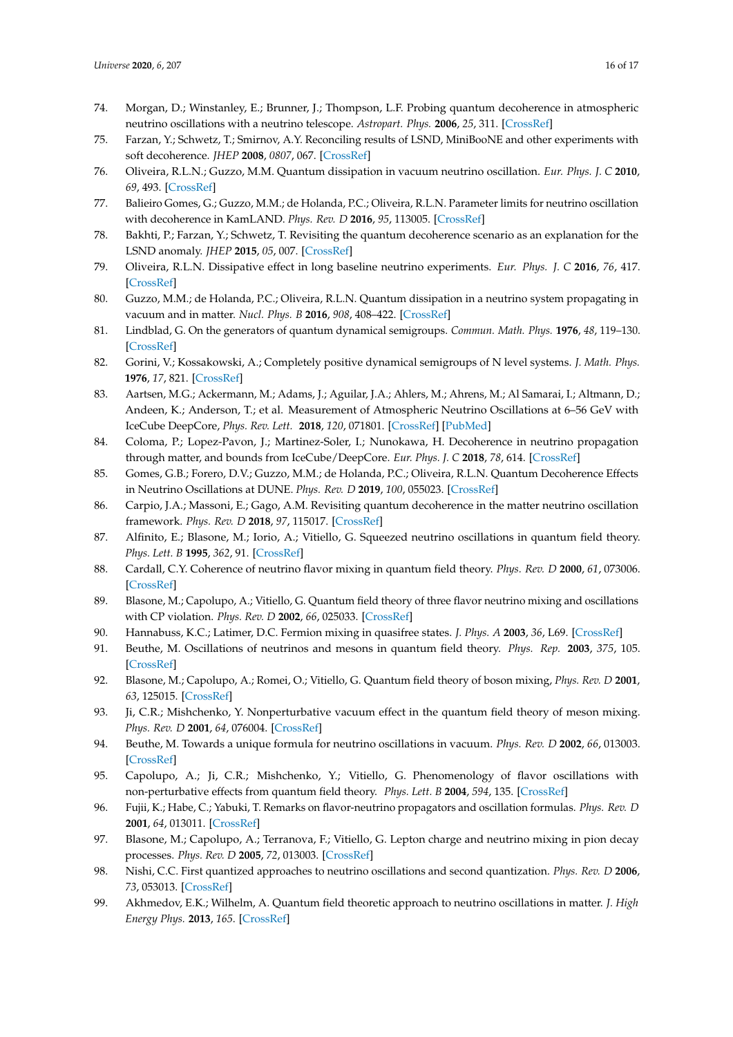- 75. Farzan, Y.; Schwetz, T.; Smirnov, A.Y. Reconciling results of LSND, MiniBooNE and other experiments with soft decoherence. *JHEP* **2008**, *0807*, 067. [\[CrossRef\]](http://dx.doi.org/10.1088/1126-6708/2008/07/067)
- 76. Oliveira, R.L.N.; Guzzo, M.M. Quantum dissipation in vacuum neutrino oscillation. *Eur. Phys. J. C* **2010**, *69*, 493. [\[CrossRef\]](http://dx.doi.org/10.1140/epjc/s10052-010-1388-1)
- 77. Balieiro Gomes, G.; Guzzo, M.M.; de Holanda, P.C.; Oliveira, R.L.N. Parameter limits for neutrino oscillation with decoherence in KamLAND. *Phys. Rev. D* **2016**, *95*, 113005. [\[CrossRef\]](http://dx.doi.org/10.1103/PhysRevD.95.113005)
- 78. Bakhti, P.; Farzan, Y.; Schwetz, T. Revisiting the quantum decoherence scenario as an explanation for the LSND anomaly. *JHEP* **2015**, *05*, 007. [\[CrossRef\]](http://dx.doi.org/10.1007/JHEP05(2015)007)
- 79. Oliveira, R.L.N. Dissipative effect in long baseline neutrino experiments. *Eur. Phys. J. C* **2016**, *76*, 417. [\[CrossRef\]](http://dx.doi.org/10.1140/epjc/s10052-016-4253-z)
- <span id="page-15-0"></span>80. Guzzo, M.M.; de Holanda, P.C.; Oliveira, R.L.N. Quantum dissipation in a neutrino system propagating in vacuum and in matter. *Nucl. Phys. B* **2016**, *908*, 408–422. [\[CrossRef\]](http://dx.doi.org/10.1016/j.nuclphysb.2016.04.030)
- <span id="page-15-1"></span>81. Lindblad, G. On the generators of quantum dynamical semigroups. *Commun. Math. Phys.* **1976**, *48*, 119–130. [\[CrossRef\]](http://dx.doi.org/10.1007/BF01608499)
- <span id="page-15-2"></span>82. Gorini, V.; Kossakowski, A.; Completely positive dynamical semigroups of N level systems. *J. Math. Phys.* **1976**, *17*, 821. [\[CrossRef\]](http://dx.doi.org/10.1063/1.522979)
- <span id="page-15-3"></span>83. Aartsen, M.G.; Ackermann, M.; Adams, J.; Aguilar, J.A.; Ahlers, M.; Ahrens, M.; Al Samarai, I.; Altmann, D.; Andeen, K.; Anderson, T.; et al. Measurement of Atmospheric Neutrino Oscillations at 6–56 GeV with IceCube DeepCore, *Phys. Rev. Lett.* **2018**, *120*, 071801. [\[CrossRef\]](http://dx.doi.org/10.1103/PhysRevLett.120.071801) [\[PubMed\]](http://www.ncbi.nlm.nih.gov/pubmed/29542976)
- <span id="page-15-4"></span>84. Coloma, P.; Lopez-Pavon, J.; Martinez-Soler, I.; Nunokawa, H. Decoherence in neutrino propagation through matter, and bounds from IceCube/DeepCore. *Eur. Phys. J. C* **2018**, *78*, 614. [\[CrossRef\]](http://dx.doi.org/10.1140/epjc/s10052-018-6092-6)
- <span id="page-15-5"></span>85. Gomes, G.B.; Forero, D.V.; Guzzo, M.M.; de Holanda, P.C.; Oliveira, R.L.N. Quantum Decoherence Effects in Neutrino Oscillations at DUNE. *Phys. Rev. D* **2019**, *100*, 055023. [\[CrossRef\]](http://dx.doi.org/10.1103/PhysRevD.100.055023)
- <span id="page-15-6"></span>86. Carpio, J.A.; Massoni, E.; Gago, A.M. Revisiting quantum decoherence in the matter neutrino oscillation framework. *Phys. Rev. D* **2018**, *97*, 115017. [\[CrossRef\]](http://dx.doi.org/10.1103/PhysRevD.97.115017)
- <span id="page-15-7"></span>87. Alfinito, E.; Blasone, M.; Iorio, A.; Vitiello, G. Squeezed neutrino oscillations in quantum field theory. *Phys. Lett. B* **1995**, *362*, 91. [\[CrossRef\]](http://dx.doi.org/10.1016/0370-2693(95)01171-L)
- 88. Cardall, C.Y. Coherence of neutrino flavor mixing in quantum field theory. *Phys. Rev. D* **2000**, *61*, 073006. [\[CrossRef\]](http://dx.doi.org/10.1103/PhysRevD.61.073006)
- 89. Blasone, M.; Capolupo, A.; Vitiello, G. Quantum field theory of three flavor neutrino mixing and oscillations with CP violation. *Phys. Rev. D* **2002**, *66*, 025033. [\[CrossRef\]](http://dx.doi.org/10.1103/PhysRevD.66.025033)
- 90. Hannabuss, K.C.; Latimer, D.C. Fermion mixing in quasifree states. *J. Phys. A* **2003**, *36*, L69. [\[CrossRef\]](http://dx.doi.org/10.1088/0305-4470/36/4/101)
- 91. Beuthe, M. Oscillations of neutrinos and mesons in quantum field theory. *Phys. Rep.* **2003**, *375*, 105. [\[CrossRef\]](http://dx.doi.org/10.1016/S0370-1573(02)00538-0)
- 92. Blasone, M.; Capolupo, A.; Romei, O.; Vitiello, G. Quantum field theory of boson mixing, *Phys. Rev. D* **2001**, *63*, 125015. [\[CrossRef\]](http://dx.doi.org/10.1103/PhysRevD.63.125015)
- 93. Ji, C.R.; Mishchenko, Y. Nonperturbative vacuum effect in the quantum field theory of meson mixing. *Phys. Rev. D* **2001**, *64*, 076004. [\[CrossRef\]](http://dx.doi.org/10.1103/PhysRevD.64.076004)
- 94. Beuthe, M. Towards a unique formula for neutrino oscillations in vacuum. *Phys. Rev. D* **2002**, *66*, 013003. [\[CrossRef\]](http://dx.doi.org/10.1103/PhysRevD.66.013003)
- 95. Capolupo, A.; Ji, C.R.; Mishchenko, Y.; Vitiello, G. Phenomenology of flavor oscillations with non-perturbative effects from quantum field theory. *Phys. Lett. B* **2004**, *594*, 135. [\[CrossRef\]](http://dx.doi.org/10.1016/j.physletb.2004.05.016)
- 96. Fujii, K.; Habe, C.; Yabuki, T. Remarks on flavor-neutrino propagators and oscillation formulas. *Phys. Rev. D* **2001**, *64*, 013011. [\[CrossRef\]](http://dx.doi.org/10.1103/PhysRevD.64.013011)
- 97. Blasone, M.; Capolupo, A.; Terranova, F.; Vitiello, G. Lepton charge and neutrino mixing in pion decay processes. *Phys. Rev. D* **2005**, *72*, 013003. [\[CrossRef\]](http://dx.doi.org/10.1103/PhysRevD.72.013003)
- 98. Nishi, C.C. First quantized approaches to neutrino oscillations and second quantization. *Phys. Rev. D* **2006**, *73*, 053013. [\[CrossRef\]](http://dx.doi.org/10.1103/PhysRevD.73.053013)
- 99. Akhmedov, E.K.; Wilhelm, A. Quantum field theoretic approach to neutrino oscillations in matter. *J. High Energy Phys.* **2013**, *165*. [\[CrossRef\]](http://dx.doi.org/10.1007/JHEP01(2013)165)